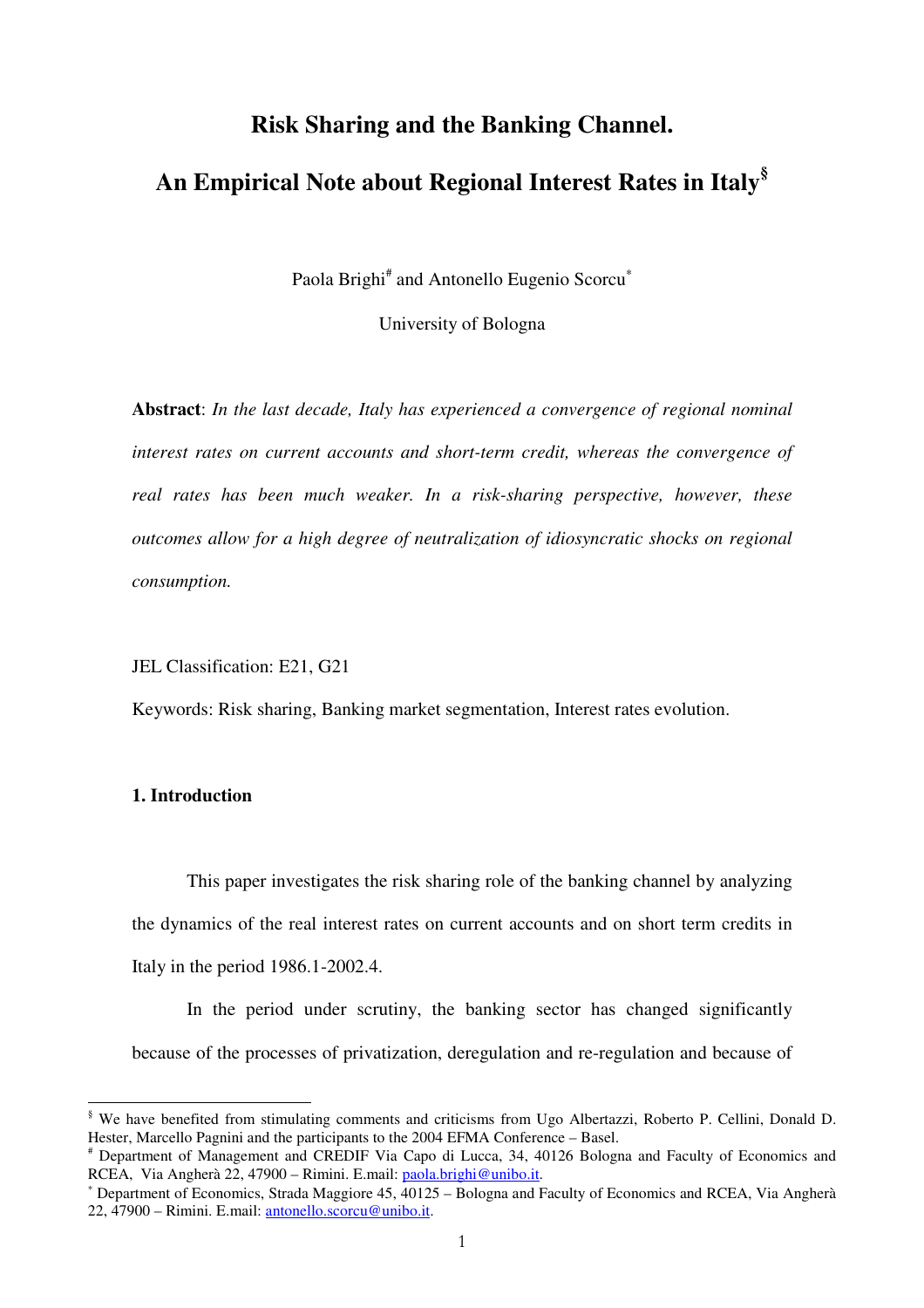## **Risk Sharing and the Banking Channel.**

# **An Empirical Note about Regional Interest Rates in Italy§**

Paola Brighi<sup>#</sup> and Antonello Eugenio Scorcu<sup>\*</sup>

University of Bologna

**Abstract**: *In the last decade, Italy has experienced a convergence of regional nominal interest rates on current accounts and short-term credit, whereas the convergence of real rates has been much weaker. In a risk-sharing perspective, however, these outcomes allow for a high degree of neutralization of idiosyncratic shocks on regional consumption.* 

JEL Classification: E21, G21

Keywords: Risk sharing, Banking market segmentation, Interest rates evolution.

## **1. Introduction**

This paper investigates the risk sharing role of the banking channel by analyzing the dynamics of the real interest rates on current accounts and on short term credits in Italy in the period 1986.1-2002.4.

In the period under scrutiny, the banking sector has changed significantly because of the processes of privatization, deregulation and re-regulation and because of

 § We have benefited from stimulating comments and criticisms from Ugo Albertazzi, Roberto P. Cellini, Donald D. Hester, Marcello Pagnini and the participants to the 2004 EFMA Conference – Basel.

<sup>#</sup> Department of Management and CREDIF Via Capo di Lucca, 34, 40126 Bologna and Faculty of Economics and RCEA, Via Angherà 22, 47900 – Rimini. E.mail: paola.brighi@unibo.it.

<sup>∗</sup> Department of Economics, Strada Maggiore 45, 40125 – Bologna and Faculty of Economics and RCEA, Via Angherà 22, 47900 – Rimini. E.mail: antonello.scorcu@unibo.it.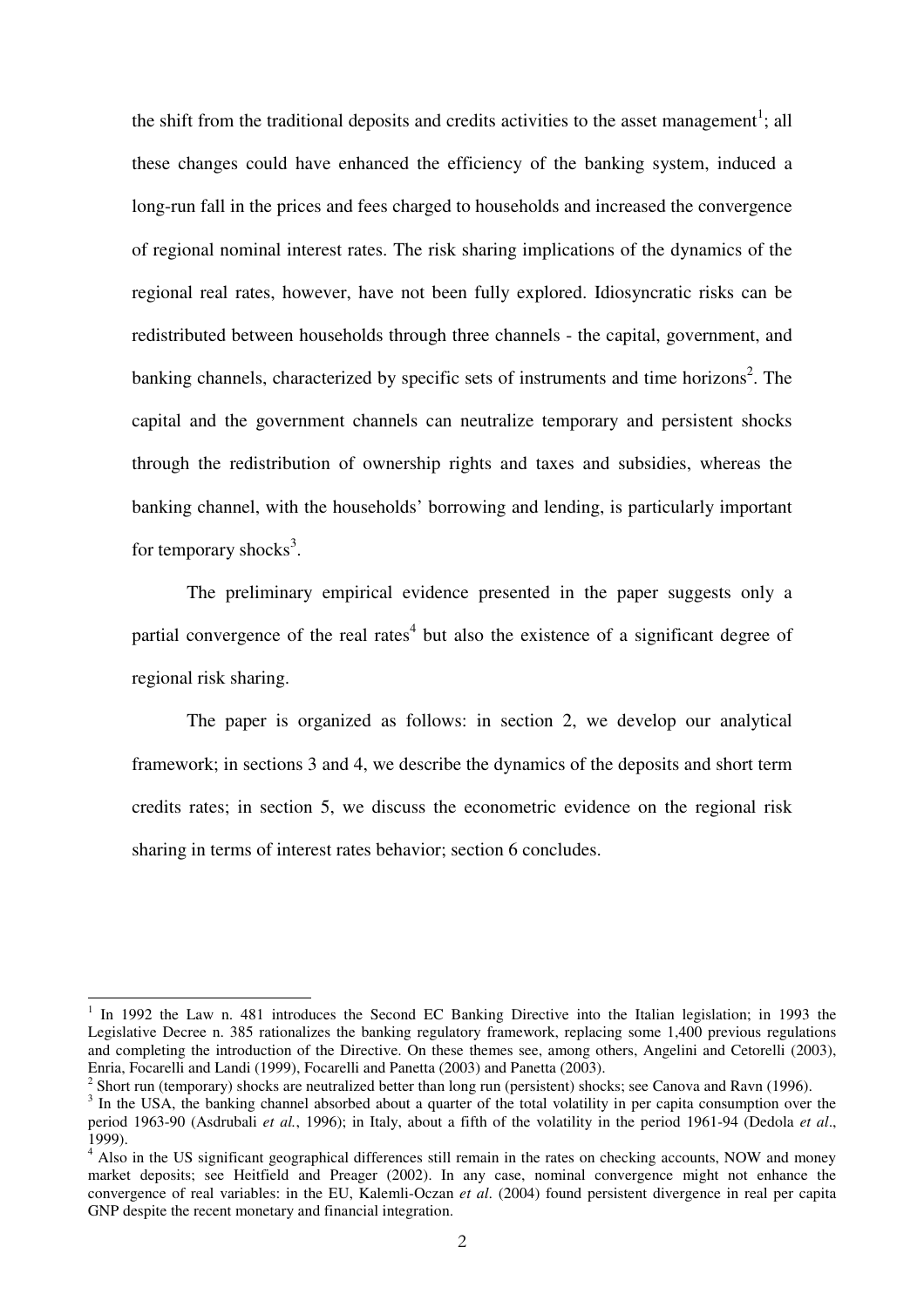the shift from the traditional deposits and credits activities to the asset management<sup>1</sup>; all these changes could have enhanced the efficiency of the banking system, induced a long-run fall in the prices and fees charged to households and increased the convergence of regional nominal interest rates. The risk sharing implications of the dynamics of the regional real rates, however, have not been fully explored. Idiosyncratic risks can be redistributed between households through three channels - the capital, government, and banking channels, characterized by specific sets of instruments and time horizons<sup>2</sup>. The capital and the government channels can neutralize temporary and persistent shocks through the redistribution of ownership rights and taxes and subsidies, whereas the banking channel, with the households' borrowing and lending, is particularly important for temporary shocks<sup>3</sup>.

The preliminary empirical evidence presented in the paper suggests only a partial convergence of the real rates<sup>4</sup> but also the existence of a significant degree of regional risk sharing.

The paper is organized as follows: in section 2, we develop our analytical framework; in sections 3 and 4, we describe the dynamics of the deposits and short term credits rates; in section 5, we discuss the econometric evidence on the regional risk sharing in terms of interest rates behavior; section 6 concludes.

<sup>&</sup>lt;sup>1</sup> In 1992 the Law n. 481 introduces the Second EC Banking Directive into the Italian legislation; in 1993 the Legislative Decree n. 385 rationalizes the banking regulatory framework, replacing some 1,400 previous regulations and completing the introduction of the Directive. On these themes see, among others, Angelini and Cetorelli (2003), Enria, Focarelli and Landi (1999), Focarelli and Panetta (2003) and Panetta (2003).

<sup>&</sup>lt;sup>2</sup> Short run (temporary) shocks are neutralized better than long run (persistent) shocks; see Canova and Ravn (1996).

<sup>&</sup>lt;sup>3</sup> In the USA, the banking channel absorbed about a quarter of the total volatility in per capita consumption over the period 1963-90 (Asdrubali *et al.*, 1996); in Italy, about a fifth of the volatility in the period 1961-94 (Dedola *et al*., 1999).

<sup>&</sup>lt;sup>4</sup> Also in the US significant geographical differences still remain in the rates on checking accounts, NOW and money market deposits; see Heitfield and Preager (2002). In any case, nominal convergence might not enhance the convergence of real variables: in the EU, Kalemli-Oczan *et al*. (2004) found persistent divergence in real per capita GNP despite the recent monetary and financial integration.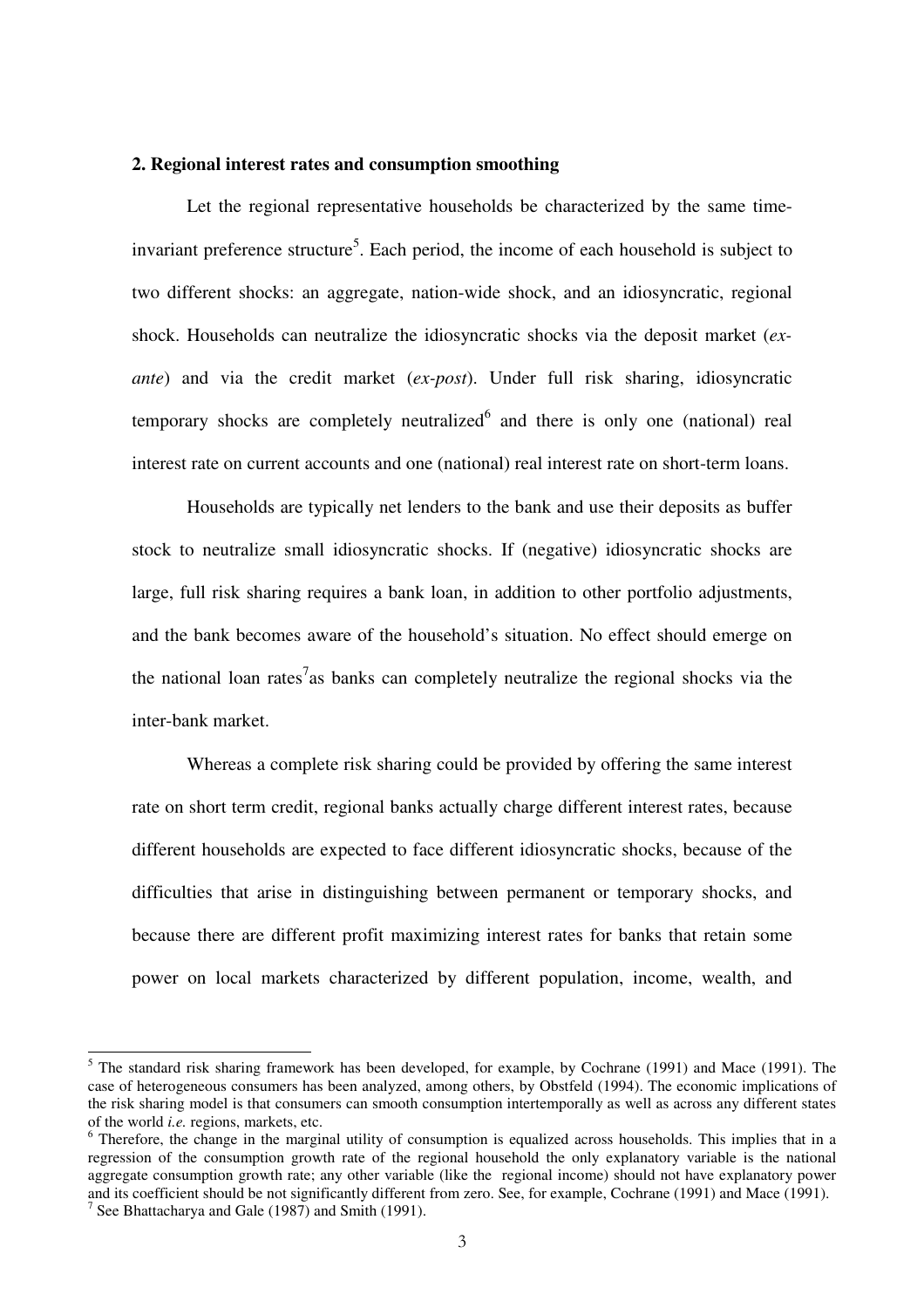## **2. Regional interest rates and consumption smoothing**

Let the regional representative households be characterized by the same timeinvariant preference structure<sup>5</sup>. Each period, the income of each household is subject to two different shocks: an aggregate, nation-wide shock, and an idiosyncratic, regional shock. Households can neutralize the idiosyncratic shocks via the deposit market (*exante*) and via the credit market (*ex-post*). Under full risk sharing, idiosyncratic temporary shocks are completely neutralized<sup>6</sup> and there is only one (national) real interest rate on current accounts and one (national) real interest rate on short-term loans.

Households are typically net lenders to the bank and use their deposits as buffer stock to neutralize small idiosyncratic shocks. If (negative) idiosyncratic shocks are large, full risk sharing requires a bank loan, in addition to other portfolio adjustments, and the bank becomes aware of the household's situation. No effect should emerge on the national loan rates<sup>7</sup> as banks can completely neutralize the regional shocks via the inter-bank market.

Whereas a complete risk sharing could be provided by offering the same interest rate on short term credit, regional banks actually charge different interest rates, because different households are expected to face different idiosyncratic shocks, because of the difficulties that arise in distinguishing between permanent or temporary shocks, and because there are different profit maximizing interest rates for banks that retain some power on local markets characterized by different population, income, wealth, and

<sup>&</sup>lt;sup>5</sup> The standard risk sharing framework has been developed, for example, by Cochrane (1991) and Mace (1991). The case of heterogeneous consumers has been analyzed, among others, by Obstfeld (1994). The economic implications of the risk sharing model is that consumers can smooth consumption intertemporally as well as across any different states of the world *i.e.* regions, markets, etc.

<sup>&</sup>lt;sup>6</sup> Therefore, the change in the marginal utility of consumption is equalized across households. This implies that in a regression of the consumption growth rate of the regional household the only explanatory variable is the national aggregate consumption growth rate; any other variable (like the regional income) should not have explanatory power and its coefficient should be not significantly different from zero. See, for example, Cochrane (1991) and Mace (1991).

<sup>&</sup>lt;sup>7</sup> See Bhattacharya and Gale (1987) and Smith (1991).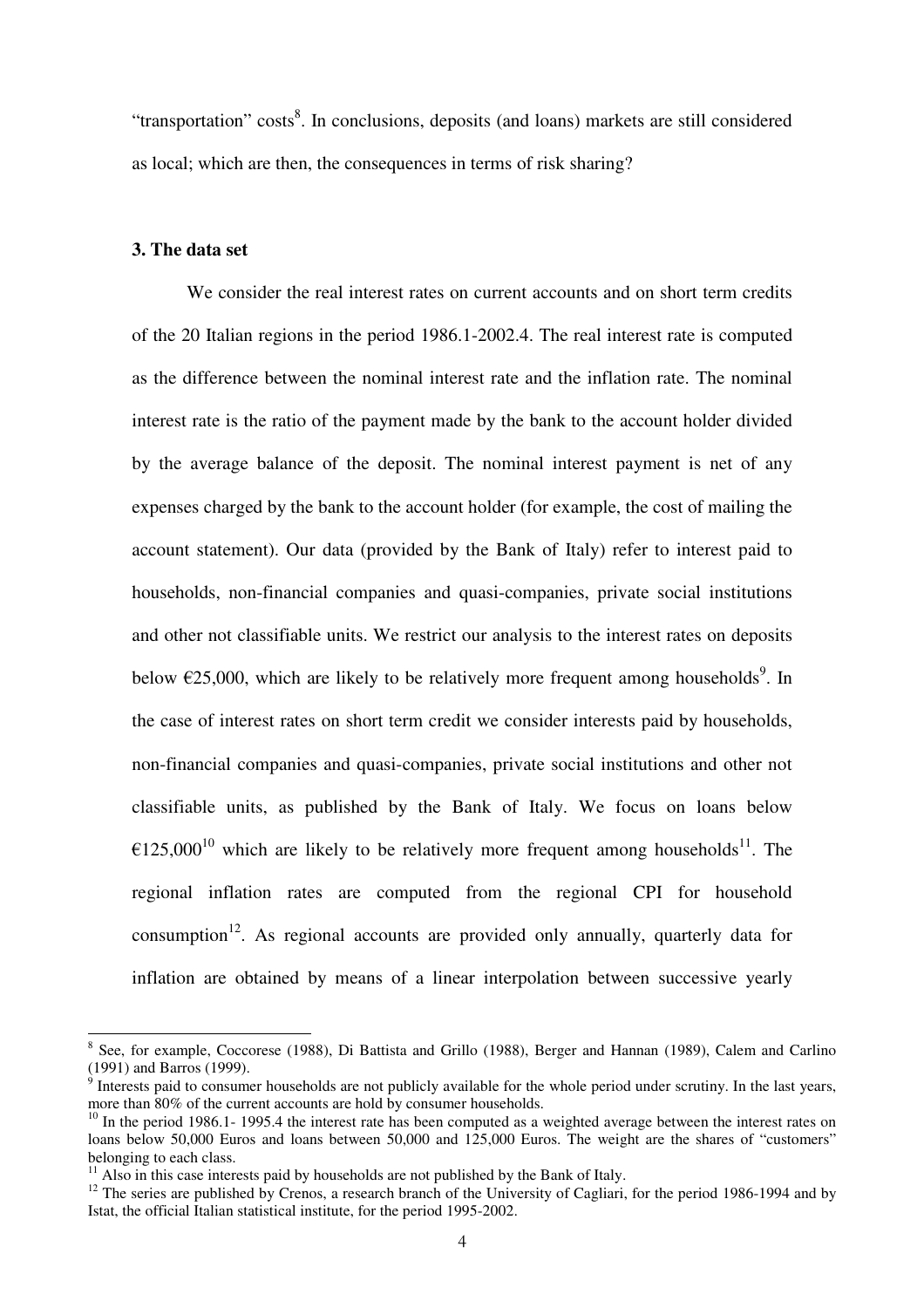"transportation" costs<sup>8</sup>. In conclusions, deposits (and loans) markets are still considered as local; which are then, the consequences in terms of risk sharing?

## **3. The data set**

We consider the real interest rates on current accounts and on short term credits of the 20 Italian regions in the period 1986.1-2002.4. The real interest rate is computed as the difference between the nominal interest rate and the inflation rate. The nominal interest rate is the ratio of the payment made by the bank to the account holder divided by the average balance of the deposit. The nominal interest payment is net of any expenses charged by the bank to the account holder (for example, the cost of mailing the account statement). Our data (provided by the Bank of Italy) refer to interest paid to households, non-financial companies and quasi-companies, private social institutions and other not classifiable units. We restrict our analysis to the interest rates on deposits below  $\epsilon$ 25,000, which are likely to be relatively more frequent among households<sup>9</sup>. In the case of interest rates on short term credit we consider interests paid by households, non-financial companies and quasi-companies, private social institutions and other not classifiable units, as published by the Bank of Italy. We focus on loans below  $\epsilon$ 125,000<sup>10</sup> which are likely to be relatively more frequent among households<sup>11</sup>. The regional inflation rates are computed from the regional CPI for household consumption<sup>12</sup>. As regional accounts are provided only annually, quarterly data for inflation are obtained by means of a linear interpolation between successive yearly

<sup>&</sup>lt;sup>8</sup> See, for example, Coccorese (1988), Di Battista and Grillo (1988), Berger and Hannan (1989), Calem and Carlino (1991) and Barros (1999).

 $9$  Interests paid to consumer households are not publicly available for the whole period under scrutiny. In the last years, more than 80% of the current accounts are hold by consumer households.

 $10$  In the period 1986.1- 1995.4 the interest rate has been computed as a weighted average between the interest rates on loans below 50,000 Euros and loans between 50,000 and 125,000 Euros. The weight are the shares of "customers" belonging to each class.

 $11$  Also in this case interests paid by households are not published by the Bank of Italy.

 $12$  The series are published by Crenos, a research branch of the University of Cagliari, for the period 1986-1994 and by Istat, the official Italian statistical institute, for the period 1995-2002.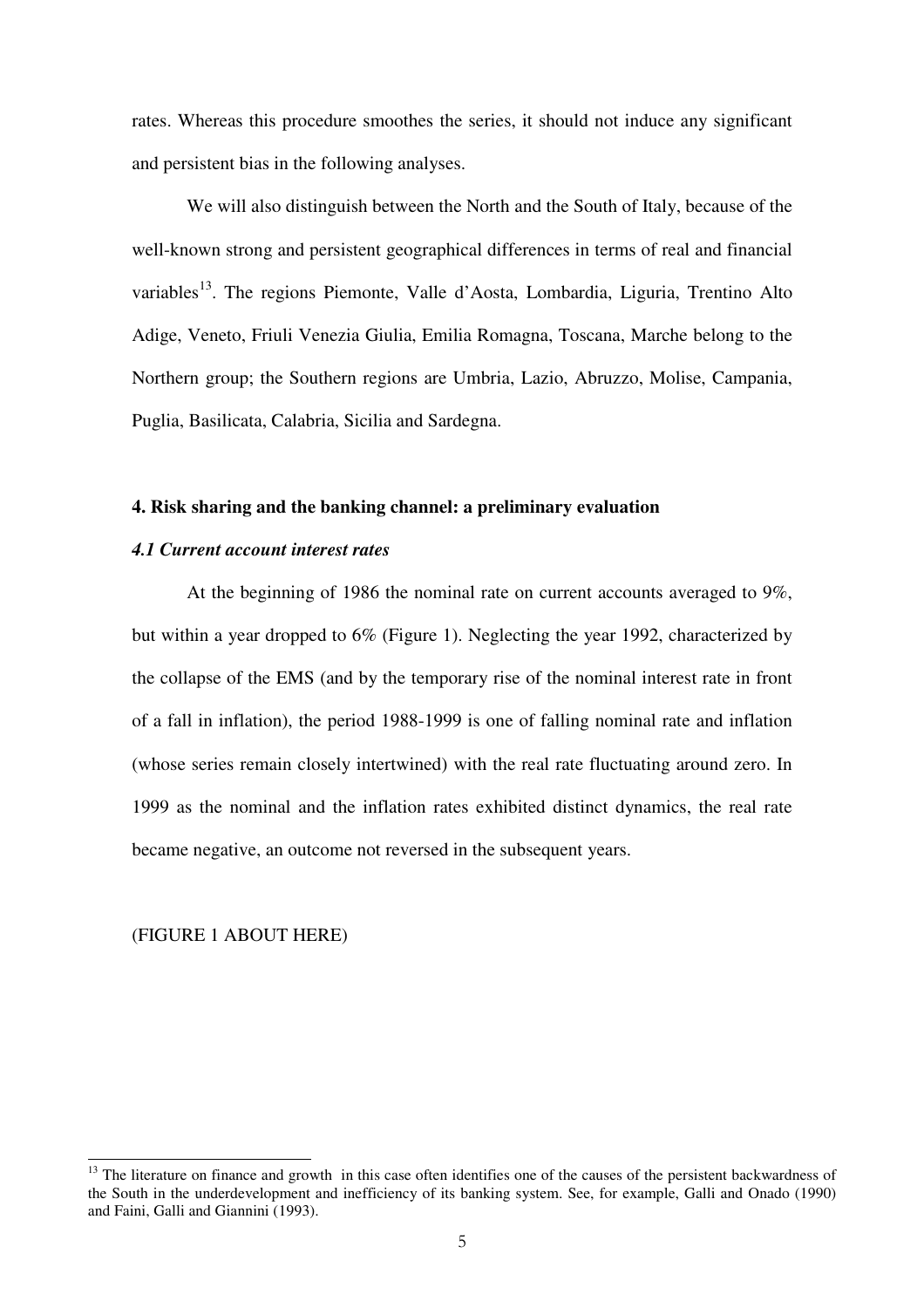rates. Whereas this procedure smoothes the series, it should not induce any significant and persistent bias in the following analyses.

We will also distinguish between the North and the South of Italy, because of the well-known strong and persistent geographical differences in terms of real and financial variables<sup>13</sup>. The regions Piemonte, Valle d'Aosta, Lombardia, Liguria, Trentino Alto Adige, Veneto, Friuli Venezia Giulia, Emilia Romagna, Toscana, Marche belong to the Northern group; the Southern regions are Umbria, Lazio, Abruzzo, Molise, Campania, Puglia, Basilicata, Calabria, Sicilia and Sardegna.

## **4. Risk sharing and the banking channel: a preliminary evaluation**

#### *4.1 Current account interest rates*

At the beginning of 1986 the nominal rate on current accounts averaged to 9%, but within a year dropped to 6% (Figure 1). Neglecting the year 1992, characterized by the collapse of the EMS (and by the temporary rise of the nominal interest rate in front of a fall in inflation), the period 1988-1999 is one of falling nominal rate and inflation (whose series remain closely intertwined) with the real rate fluctuating around zero. In 1999 as the nominal and the inflation rates exhibited distinct dynamics, the real rate became negative, an outcome not reversed in the subsequent years.

#### (FIGURE 1 ABOUT HERE)

<sup>&</sup>lt;sup>13</sup> The literature on finance and growth in this case often identifies one of the causes of the persistent backwardness of the South in the underdevelopment and inefficiency of its banking system. See, for example, Galli and Onado (1990) and Faini, Galli and Giannini (1993).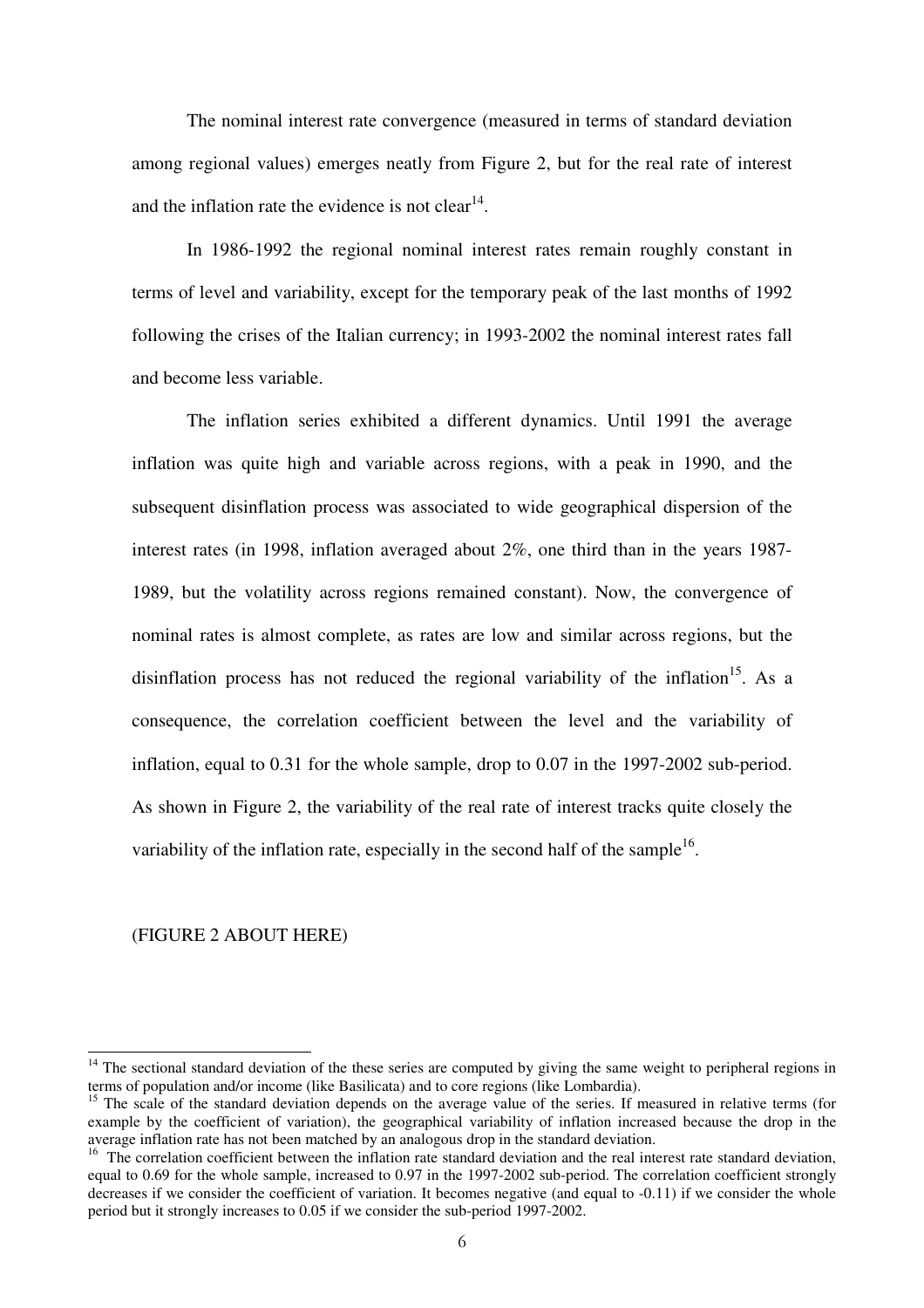The nominal interest rate convergence (measured in terms of standard deviation among regional values) emerges neatly from Figure 2, but for the real rate of interest and the inflation rate the evidence is not clear<sup>14</sup>.

In 1986-1992 the regional nominal interest rates remain roughly constant in terms of level and variability, except for the temporary peak of the last months of 1992 following the crises of the Italian currency; in 1993-2002 the nominal interest rates fall and become less variable.

The inflation series exhibited a different dynamics. Until 1991 the average inflation was quite high and variable across regions, with a peak in 1990, and the subsequent disinflation process was associated to wide geographical dispersion of the interest rates (in 1998, inflation averaged about 2%, one third than in the years 1987- 1989, but the volatility across regions remained constant). Now, the convergence of nominal rates is almost complete, as rates are low and similar across regions, but the disinflation process has not reduced the regional variability of the inflation<sup>15</sup>. As a consequence, the correlation coefficient between the level and the variability of inflation, equal to 0.31 for the whole sample, drop to 0.07 in the 1997-2002 sub-period. As shown in Figure 2, the variability of the real rate of interest tracks quite closely the variability of the inflation rate, especially in the second half of the sample<sup>16</sup>.

## (FIGURE 2 ABOUT HERE)

<sup>&</sup>lt;sup>14</sup> The sectional standard deviation of the these series are computed by giving the same weight to peripheral regions in terms of population and/or income (like Basilicata) and to core regions (like Lombardia).

<sup>&</sup>lt;sup>15</sup> The scale of the standard deviation depends on the average value of the series. If measured in relative terms (for example by the coefficient of variation), the geographical variability of inflation increased because the drop in the average inflation rate has not been matched by an analogous drop in the standard deviation.

 $16$  The correlation coefficient between the inflation rate standard deviation and the real interest rate standard deviation, equal to 0.69 for the whole sample, increased to 0.97 in the 1997-2002 sub-period. The correlation coefficient strongly decreases if we consider the coefficient of variation. It becomes negative (and equal to -0.11) if we consider the whole period but it strongly increases to 0.05 if we consider the sub-period 1997-2002.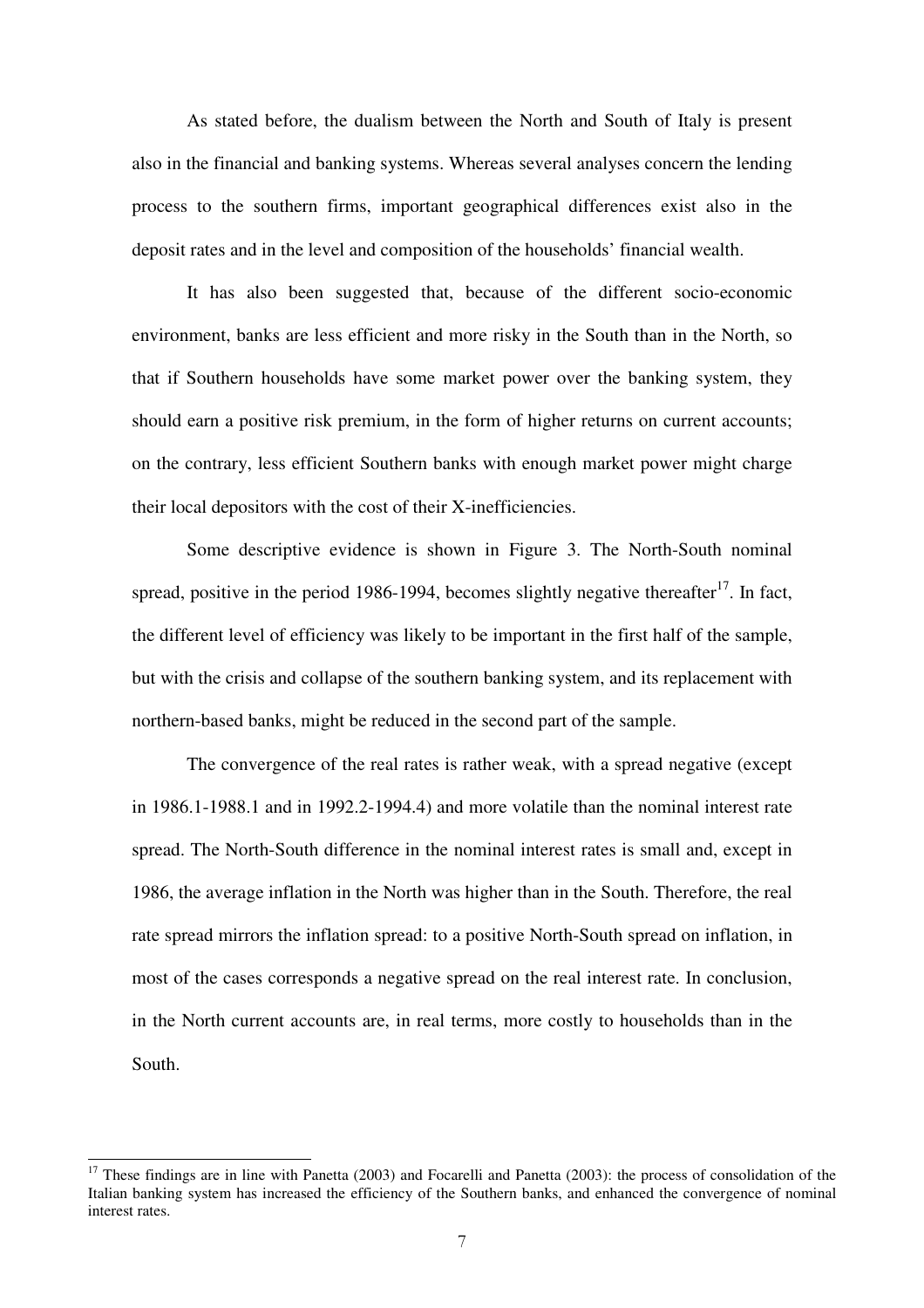As stated before, the dualism between the North and South of Italy is present also in the financial and banking systems. Whereas several analyses concern the lending process to the southern firms, important geographical differences exist also in the deposit rates and in the level and composition of the households' financial wealth.

It has also been suggested that, because of the different socio-economic environment, banks are less efficient and more risky in the South than in the North, so that if Southern households have some market power over the banking system, they should earn a positive risk premium, in the form of higher returns on current accounts; on the contrary, less efficient Southern banks with enough market power might charge their local depositors with the cost of their X-inefficiencies.

Some descriptive evidence is shown in Figure 3. The North-South nominal spread, positive in the period 1986-1994, becomes slightly negative thereafter<sup>17</sup>. In fact, the different level of efficiency was likely to be important in the first half of the sample, but with the crisis and collapse of the southern banking system, and its replacement with northern-based banks, might be reduced in the second part of the sample.

The convergence of the real rates is rather weak, with a spread negative (except in 1986.1-1988.1 and in 1992.2-1994.4) and more volatile than the nominal interest rate spread. The North-South difference in the nominal interest rates is small and, except in 1986, the average inflation in the North was higher than in the South. Therefore, the real rate spread mirrors the inflation spread: to a positive North-South spread on inflation, in most of the cases corresponds a negative spread on the real interest rate. In conclusion, in the North current accounts are, in real terms, more costly to households than in the South.

 $17$  These findings are in line with Panetta (2003) and Focarelli and Panetta (2003): the process of consolidation of the Italian banking system has increased the efficiency of the Southern banks, and enhanced the convergence of nominal interest rates.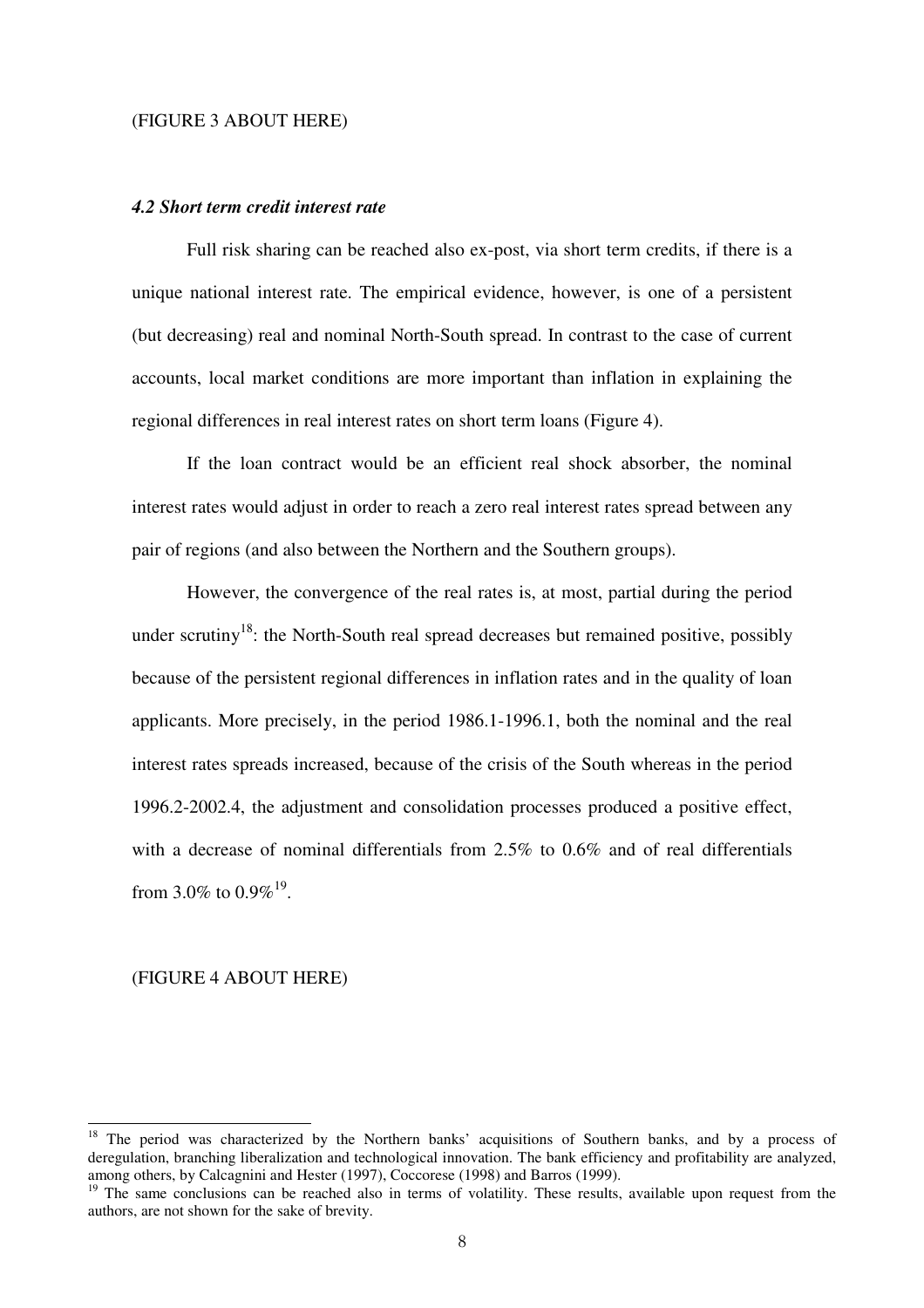#### (FIGURE 3 ABOUT HERE)

#### *4.2 Short term credit interest rate*

Full risk sharing can be reached also ex-post, via short term credits, if there is a unique national interest rate. The empirical evidence, however, is one of a persistent (but decreasing) real and nominal North-South spread. In contrast to the case of current accounts, local market conditions are more important than inflation in explaining the regional differences in real interest rates on short term loans (Figure 4).

If the loan contract would be an efficient real shock absorber, the nominal interest rates would adjust in order to reach a zero real interest rates spread between any pair of regions (and also between the Northern and the Southern groups).

However, the convergence of the real rates is, at most, partial during the period under scrutiny<sup>18</sup>: the North-South real spread decreases but remained positive, possibly because of the persistent regional differences in inflation rates and in the quality of loan applicants. More precisely, in the period 1986.1-1996.1, both the nominal and the real interest rates spreads increased, because of the crisis of the South whereas in the period 1996.2-2002.4, the adjustment and consolidation processes produced a positive effect, with a decrease of nominal differentials from 2.5% to 0.6% and of real differentials from 3.0% to  $0.9\%$ <sup>19</sup>.

## (FIGURE 4 ABOUT HERE)

<sup>&</sup>lt;sup>18</sup> The period was characterized by the Northern banks' acquisitions of Southern banks, and by a process of deregulation, branching liberalization and technological innovation. The bank efficiency and profitability are analyzed, among others, by Calcagnini and Hester (1997), Coccorese (1998) and Barros (1999).

<sup>&</sup>lt;sup>19</sup> The same conclusions can be reached also in terms of volatility. These results, available upon request from the authors, are not shown for the sake of brevity.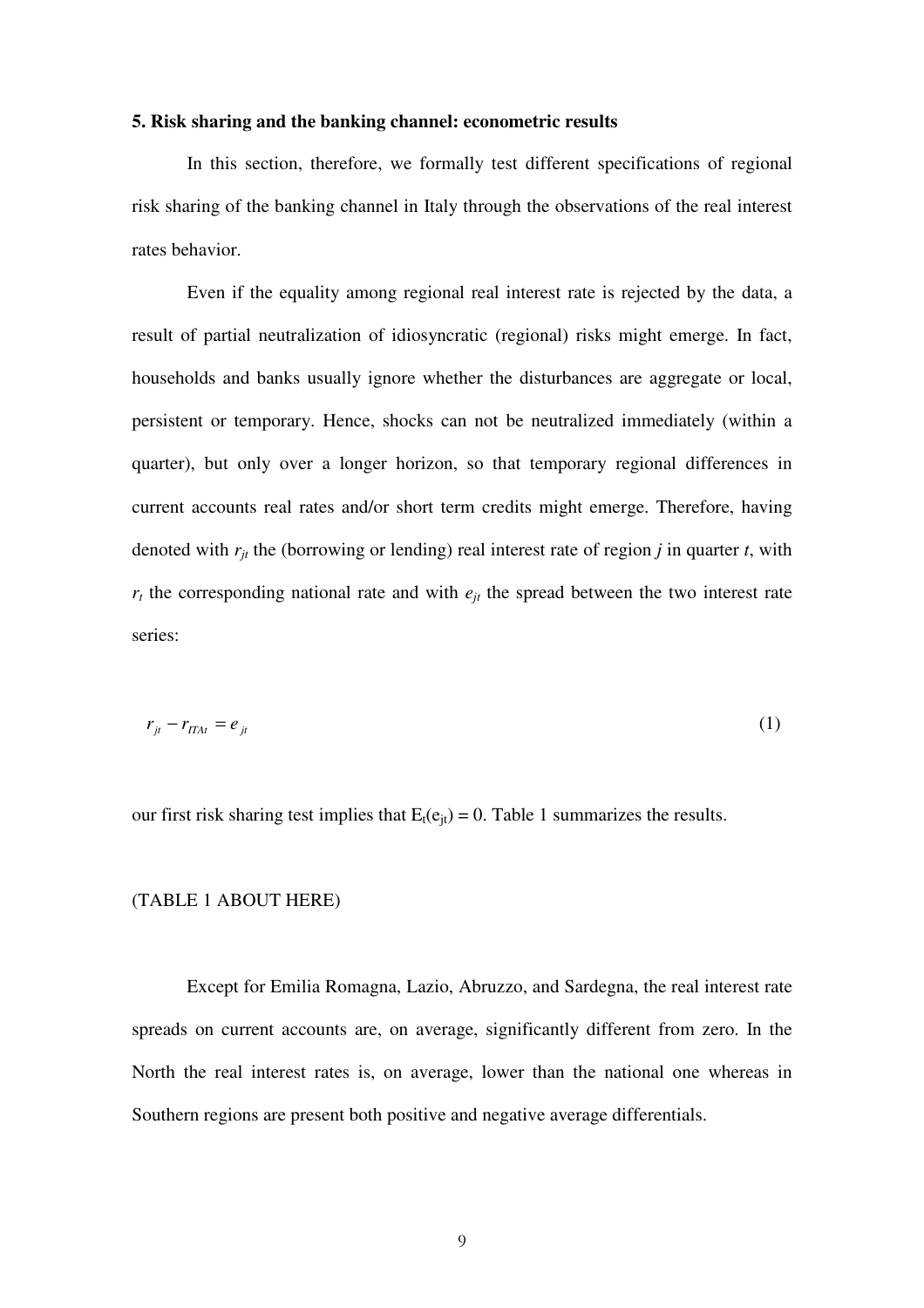#### **5. Risk sharing and the banking channel: econometric results**

In this section, therefore, we formally test different specifications of regional risk sharing of the banking channel in Italy through the observations of the real interest rates behavior.

Even if the equality among regional real interest rate is rejected by the data, a result of partial neutralization of idiosyncratic (regional) risks might emerge. In fact, households and banks usually ignore whether the disturbances are aggregate or local, persistent or temporary. Hence, shocks can not be neutralized immediately (within a quarter), but only over a longer horizon, so that temporary regional differences in current accounts real rates and/or short term credits might emerge. Therefore, having denoted with  $r_{it}$  the (borrowing or lending) real interest rate of region *j* in quarter *t*, with  $r_t$  the corresponding national rate and with  $e_{jt}$  the spread between the two interest rate series:

$$
r_{jt} - r_{ITAt} = e_{jt} \tag{1}
$$

our first risk sharing test implies that  $E_t(e_{it}) = 0$ . Table 1 summarizes the results.

#### (TABLE 1 ABOUT HERE)

Except for Emilia Romagna, Lazio, Abruzzo, and Sardegna, the real interest rate spreads on current accounts are, on average, significantly different from zero. In the North the real interest rates is, on average, lower than the national one whereas in Southern regions are present both positive and negative average differentials.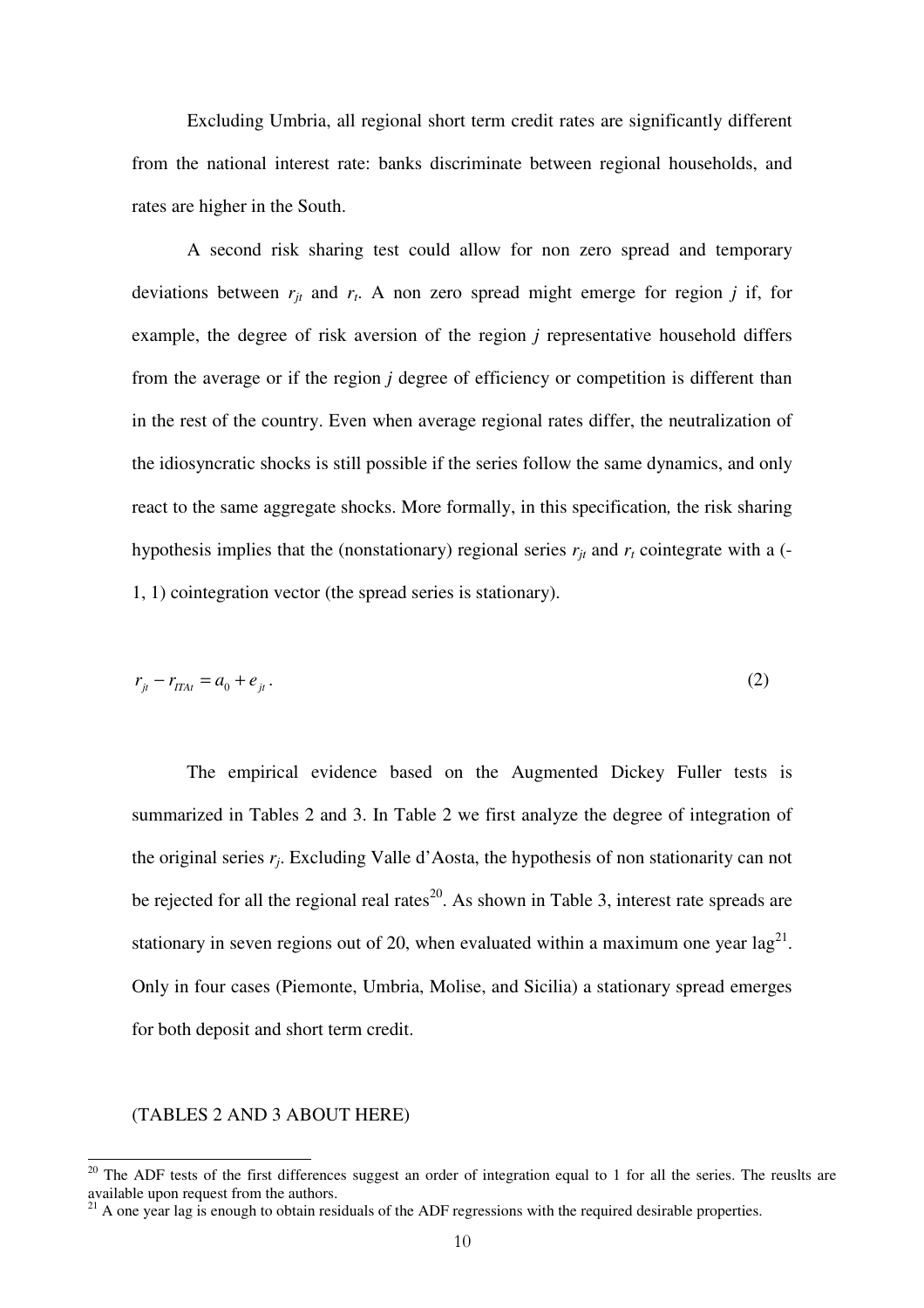Excluding Umbria, all regional short term credit rates are significantly different from the national interest rate: banks discriminate between regional households, and rates are higher in the South.

A second risk sharing test could allow for non zero spread and temporary deviations between  $r_{jt}$  and  $r_t$ . A non zero spread might emerge for region *j* if, for example, the degree of risk aversion of the region *j* representative household differs from the average or if the region *j* degree of efficiency or competition is different than in the rest of the country. Even when average regional rates differ, the neutralization of the idiosyncratic shocks is still possible if the series follow the same dynamics, and only react to the same aggregate shocks. More formally, in this specification*,* the risk sharing hypothesis implies that the (nonstationary) regional series  $r_{jt}$  and  $r_t$  cointegrate with a (-1, 1) cointegration vector (the spread series is stationary).

$$
r_{jt} - r_{lTAt} = a_0 + e_{jt}.
$$
 (2)

The empirical evidence based on the Augmented Dickey Fuller tests is summarized in Tables 2 and 3. In Table 2 we first analyze the degree of integration of the original series *r<sup>j</sup>* . Excluding Valle d'Aosta, the hypothesis of non stationarity can not be rejected for all the regional real rates<sup>20</sup>. As shown in Table 3, interest rate spreads are stationary in seven regions out of 20, when evaluated within a maximum one year  $\log^{21}$ . Only in four cases (Piemonte, Umbria, Molise, and Sicilia) a stationary spread emerges for both deposit and short term credit.

#### (TABLES 2 AND 3 ABOUT HERE)

 $20$  The ADF tests of the first differences suggest an order of integration equal to 1 for all the series. The reuslts are available upon request from the authors.

 $21$  A one year lag is enough to obtain residuals of the ADF regressions with the required desirable properties.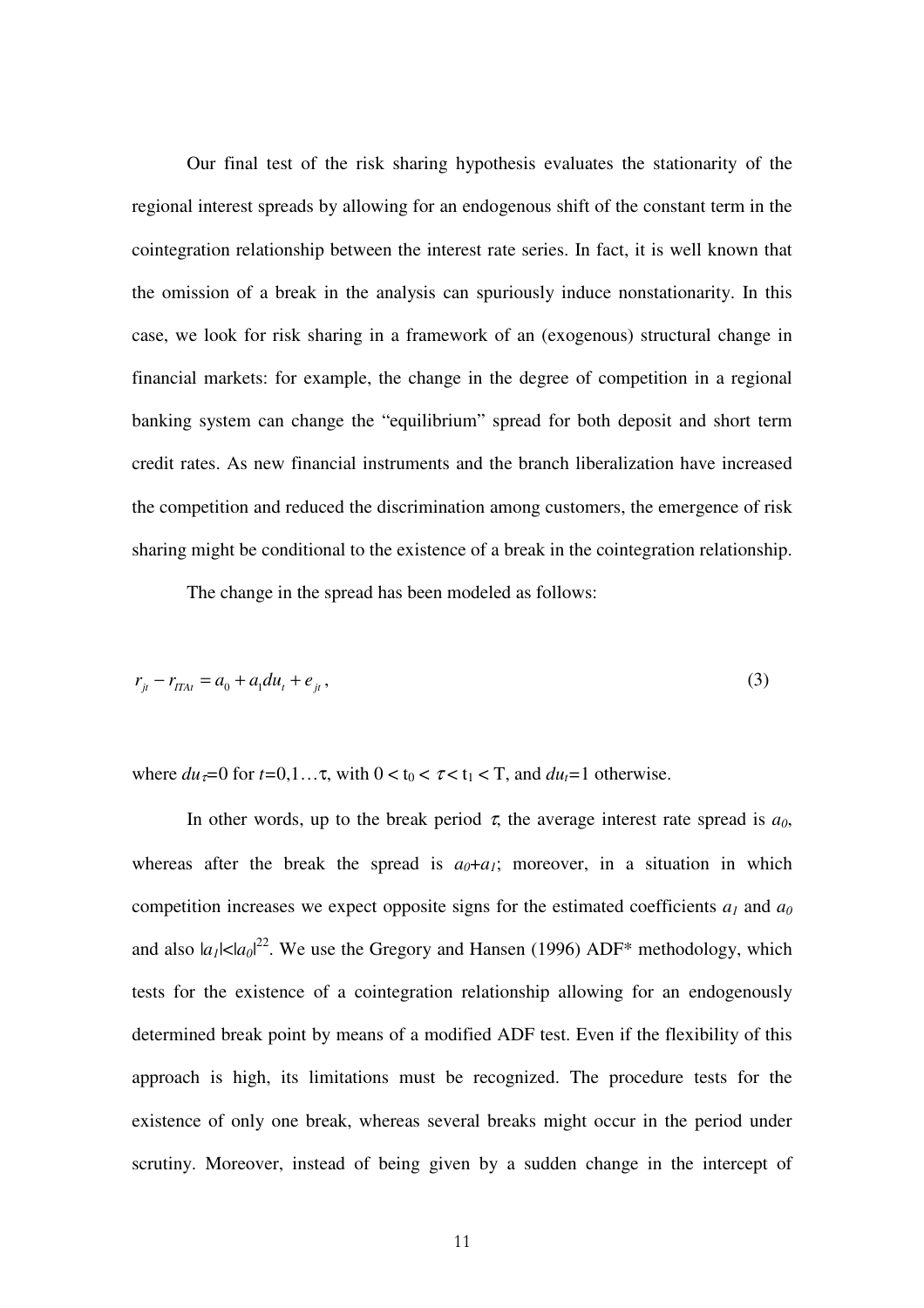Our final test of the risk sharing hypothesis evaluates the stationarity of the regional interest spreads by allowing for an endogenous shift of the constant term in the cointegration relationship between the interest rate series. In fact, it is well known that the omission of a break in the analysis can spuriously induce nonstationarity. In this case, we look for risk sharing in a framework of an (exogenous) structural change in financial markets: for example, the change in the degree of competition in a regional banking system can change the "equilibrium" spread for both deposit and short term credit rates. As new financial instruments and the branch liberalization have increased the competition and reduced the discrimination among customers, the emergence of risk sharing might be conditional to the existence of a break in the cointegration relationship.

The change in the spread has been modeled as follows:

$$
r_{jt} - r_{ITAt} = a_0 + a_1 du_t + e_{jt},
$$
\n(3)

where  $du_z = 0$  for  $t = 0, 1, \ldots$ , with  $0 < t_0 < \tau < t_1 < T$ , and  $du_z = 1$  otherwise.

In other words, up to the break period  $\tau$ , the average interest rate spread is  $a_0$ , whereas after the break the spread is  $a_0 + a_1$ ; moreover, in a situation in which competition increases we expect opposite signs for the estimated coefficients  $a_1$  and  $a_0$ and also  $|a_1| < |a_0|^{2^2}$ . We use the Gregory and Hansen (1996) ADF\* methodology, which tests for the existence of a cointegration relationship allowing for an endogenously determined break point by means of a modified ADF test. Even if the flexibility of this approach is high, its limitations must be recognized. The procedure tests for the existence of only one break, whereas several breaks might occur in the period under scrutiny. Moreover, instead of being given by a sudden change in the intercept of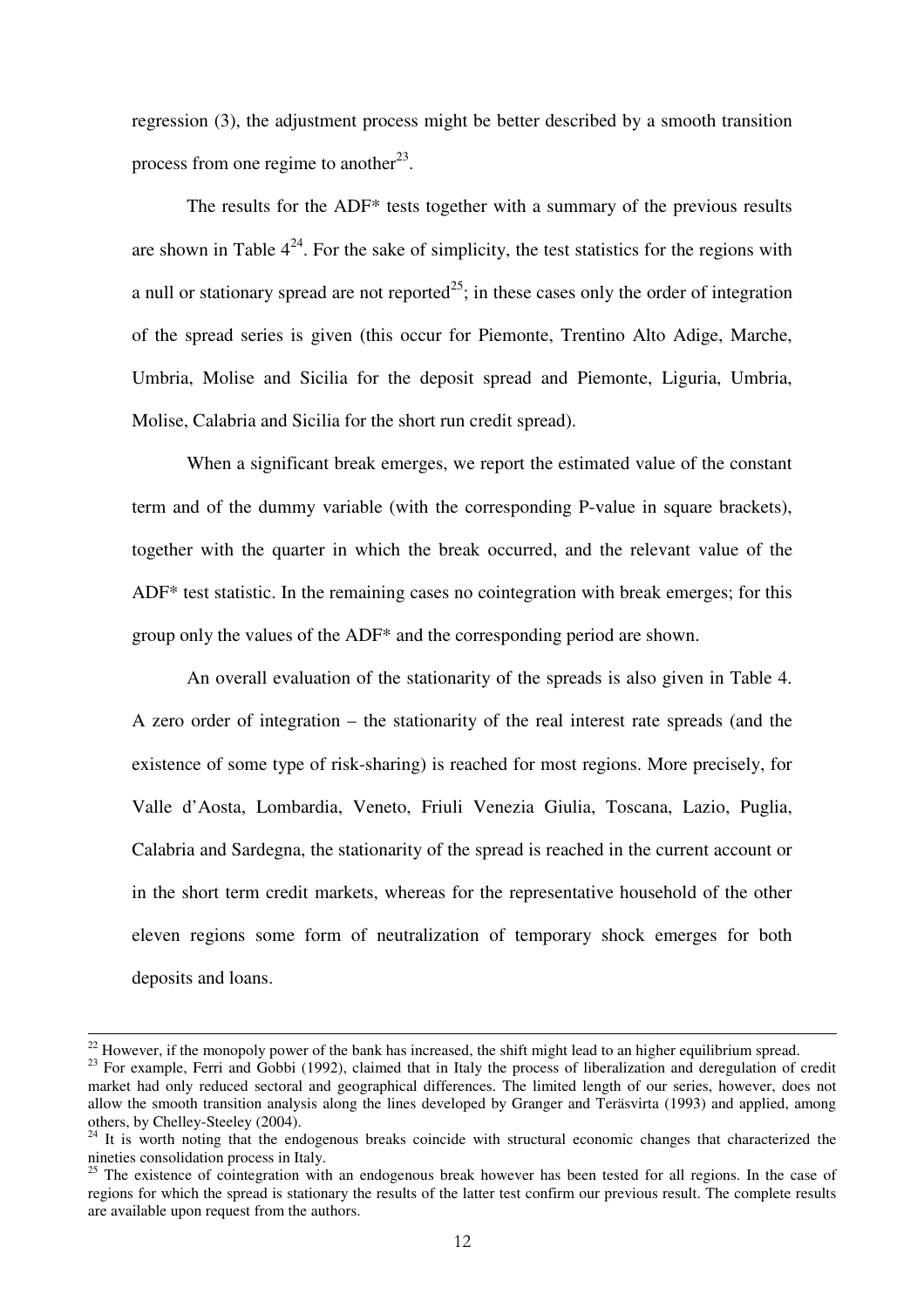regression (3), the adjustment process might be better described by a smooth transition process from one regime to another<sup>23</sup>.

The results for the ADF\* tests together with a summary of the previous results are shown in Table  $4^{24}$ . For the sake of simplicity, the test statistics for the regions with a null or stationary spread are not reported<sup>25</sup>; in these cases only the order of integration of the spread series is given (this occur for Piemonte, Trentino Alto Adige, Marche, Umbria, Molise and Sicilia for the deposit spread and Piemonte, Liguria, Umbria, Molise, Calabria and Sicilia for the short run credit spread).

When a significant break emerges, we report the estimated value of the constant term and of the dummy variable (with the corresponding P-value in square brackets), together with the quarter in which the break occurred, and the relevant value of the ADF\* test statistic. In the remaining cases no cointegration with break emerges; for this group only the values of the ADF\* and the corresponding period are shown.

An overall evaluation of the stationarity of the spreads is also given in Table 4. A zero order of integration – the stationarity of the real interest rate spreads (and the existence of some type of risk-sharing) is reached for most regions. More precisely, for Valle d'Aosta, Lombardia, Veneto, Friuli Venezia Giulia, Toscana, Lazio, Puglia, Calabria and Sardegna, the stationarity of the spread is reached in the current account or in the short term credit markets, whereas for the representative household of the other eleven regions some form of neutralization of temporary shock emerges for both deposits and loans.

 $22$  However, if the monopoly power of the bank has increased, the shift might lead to an higher equilibrium spread.

<sup>&</sup>lt;sup>23</sup> For example, Ferri and Gobbi (1992), claimed that in Italy the process of liberalization and deregulation of credit market had only reduced sectoral and geographical differences. The limited length of our series, however, does not allow the smooth transition analysis along the lines developed by Granger and Teräsvirta (1993) and applied, among others, by Chelley-Steeley (2004).

<sup>&</sup>lt;sup>24</sup> It is worth noting that the endogenous breaks coincide with structural economic changes that characterized the nineties consolidation process in Italy.

 $25$  The existence of cointegration with an endogenous break however has been tested for all regions. In the case of regions for which the spread is stationary the results of the latter test confirm our previous result. The complete results are available upon request from the authors.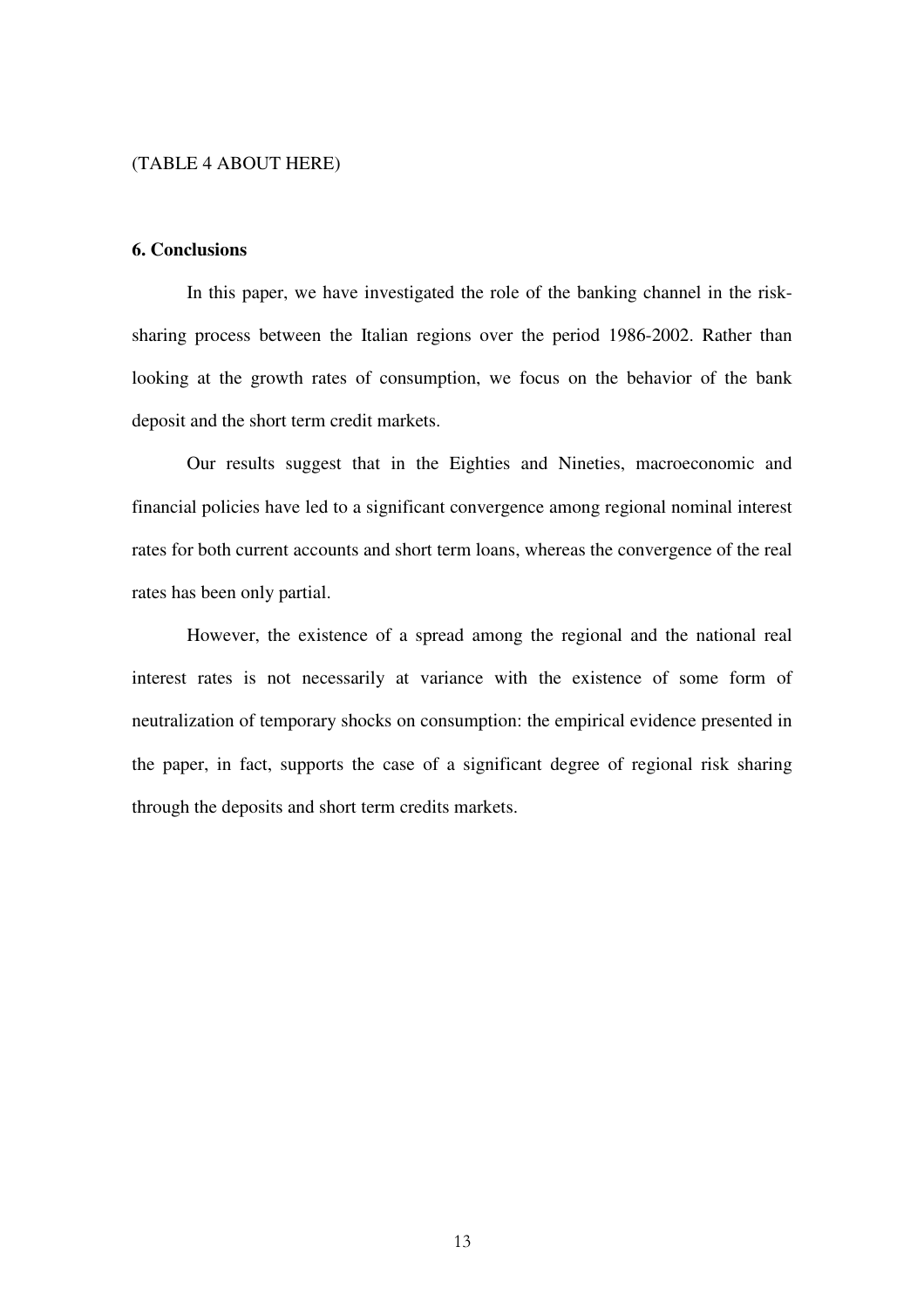## (TABLE 4 ABOUT HERE)

## **6. Conclusions**

In this paper, we have investigated the role of the banking channel in the risksharing process between the Italian regions over the period 1986-2002. Rather than looking at the growth rates of consumption, we focus on the behavior of the bank deposit and the short term credit markets.

Our results suggest that in the Eighties and Nineties, macroeconomic and financial policies have led to a significant convergence among regional nominal interest rates for both current accounts and short term loans, whereas the convergence of the real rates has been only partial.

However, the existence of a spread among the regional and the national real interest rates is not necessarily at variance with the existence of some form of neutralization of temporary shocks on consumption: the empirical evidence presented in the paper, in fact, supports the case of a significant degree of regional risk sharing through the deposits and short term credits markets.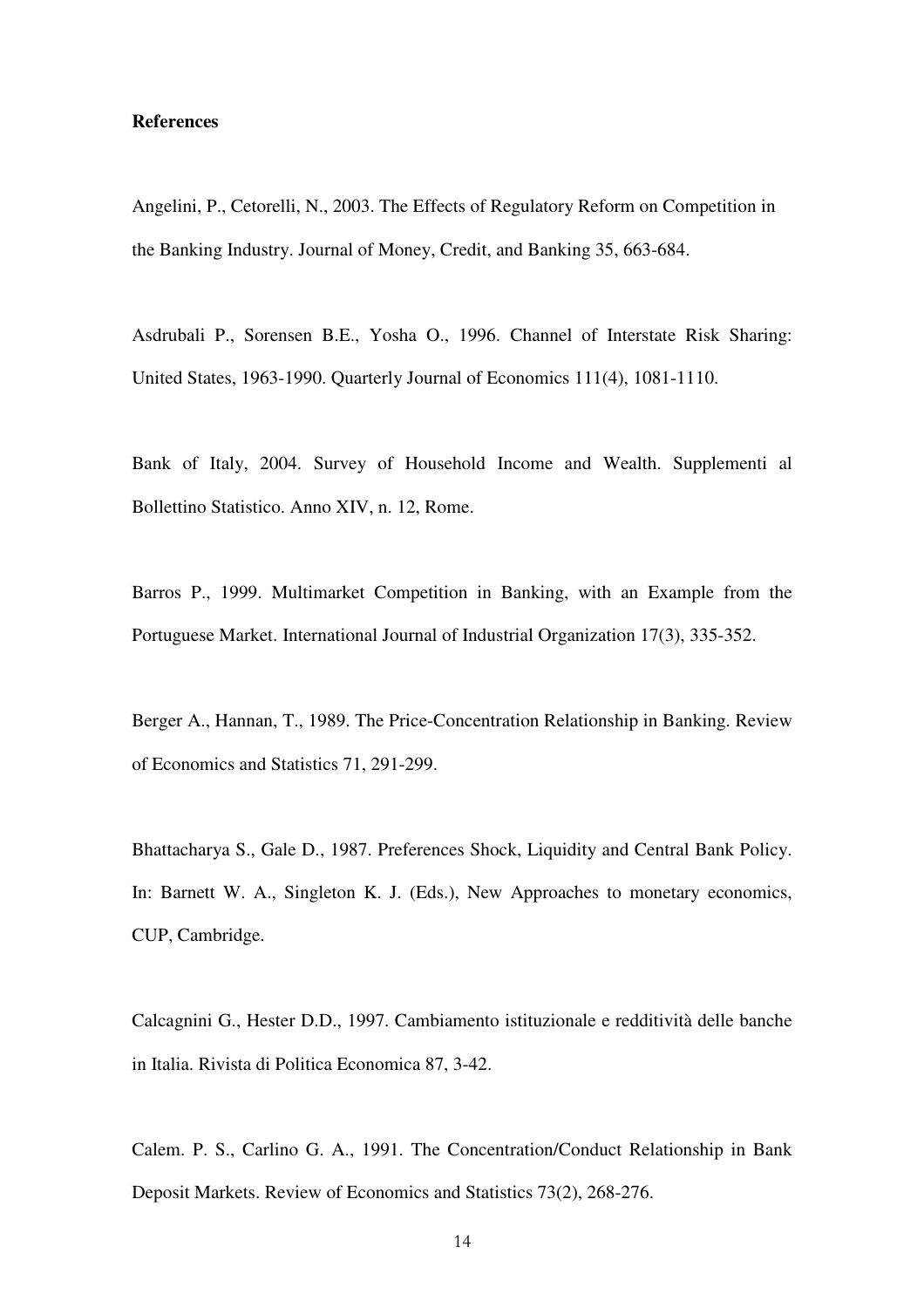### **References**

Angelini, P., Cetorelli, N., 2003. The Effects of Regulatory Reform on Competition in the Banking Industry. Journal of Money, Credit, and Banking 35, 663-684.

Asdrubali P., Sorensen B.E., Yosha O., 1996. Channel of Interstate Risk Sharing: United States, 1963-1990. Quarterly Journal of Economics 111(4), 1081-1110.

Bank of Italy, 2004. Survey of Household Income and Wealth. Supplementi al Bollettino Statistico. Anno XIV, n. 12, Rome.

Barros P., 1999. Multimarket Competition in Banking, with an Example from the Portuguese Market. International Journal of Industrial Organization 17(3), 335-352.

Berger A., Hannan, T., 1989. The Price-Concentration Relationship in Banking. Review of Economics and Statistics 71, 291-299.

Bhattacharya S., Gale D., 1987. Preferences Shock, Liquidity and Central Bank Policy. In: Barnett W. A., Singleton K. J. (Eds.), New Approaches to monetary economics, CUP, Cambridge.

Calcagnini G., Hester D.D., 1997. Cambiamento istituzionale e redditività delle banche in Italia. Rivista di Politica Economica 87, 3-42.

Calem. P. S., Carlino G. A., 1991. The Concentration/Conduct Relationship in Bank Deposit Markets. Review of Economics and Statistics 73(2), 268-276.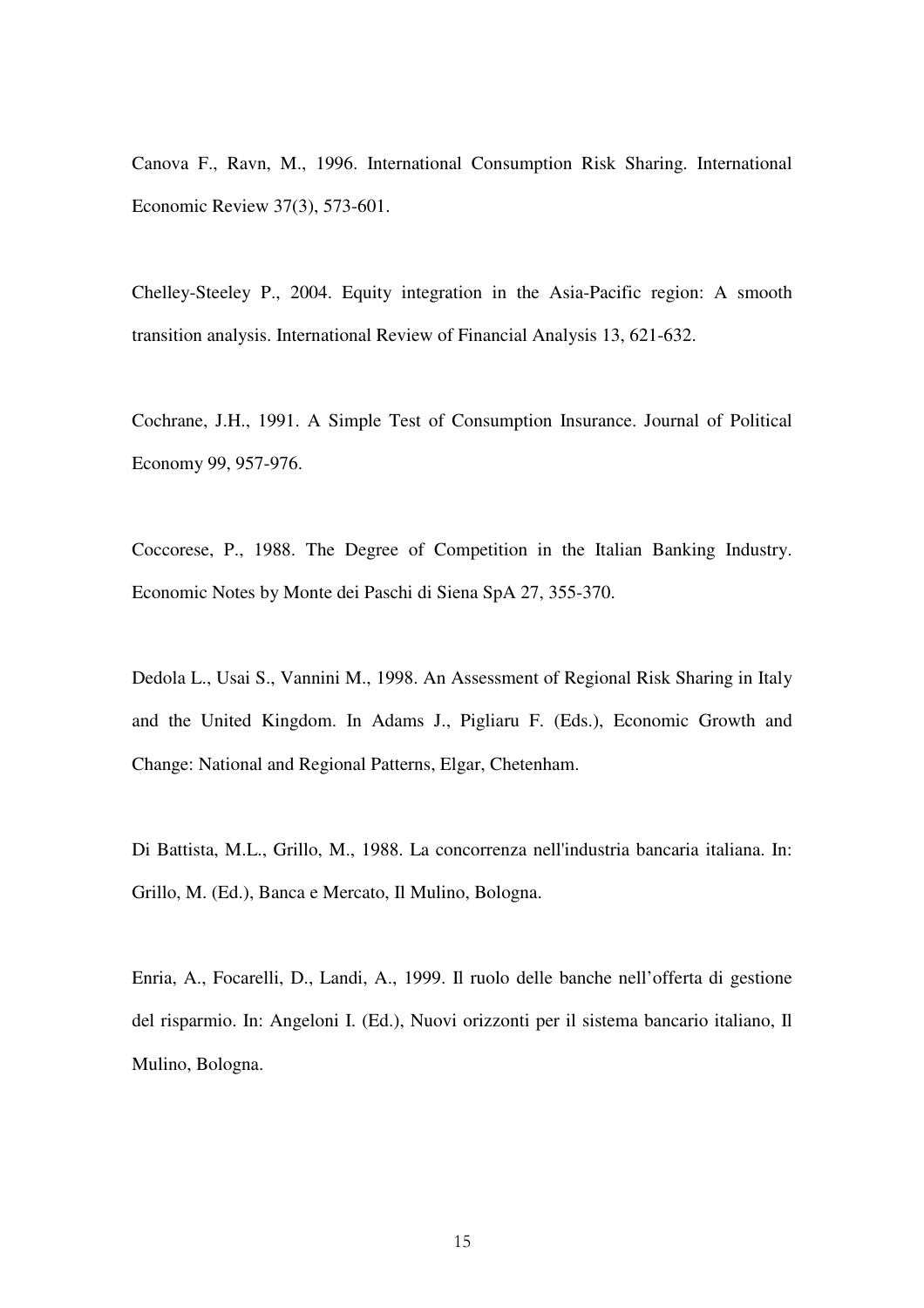Canova F., Ravn, M., 1996. International Consumption Risk Sharing. International Economic Review 37(3), 573-601.

Chelley-Steeley P., 2004. Equity integration in the Asia-Pacific region: A smooth transition analysis. International Review of Financial Analysis 13, 621-632.

Cochrane, J.H., 1991. A Simple Test of Consumption Insurance. Journal of Political Economy 99, 957-976.

Coccorese, P., 1988. The Degree of Competition in the Italian Banking Industry. Economic Notes by Monte dei Paschi di Siena SpA 27, 355-370.

Dedola L., Usai S., Vannini M., 1998. An Assessment of Regional Risk Sharing in Italy and the United Kingdom. In Adams J., Pigliaru F. (Eds.), Economic Growth and Change: National and Regional Patterns, Elgar, Chetenham.

Di Battista, M.L., Grillo, M., 1988. La concorrenza nell'industria bancaria italiana. In: Grillo, M. (Ed.), Banca e Mercato, Il Mulino, Bologna.

Enria, A., Focarelli, D., Landi, A., 1999. Il ruolo delle banche nell'offerta di gestione del risparmio. In: Angeloni I. (Ed.), Nuovi orizzonti per il sistema bancario italiano, Il Mulino, Bologna.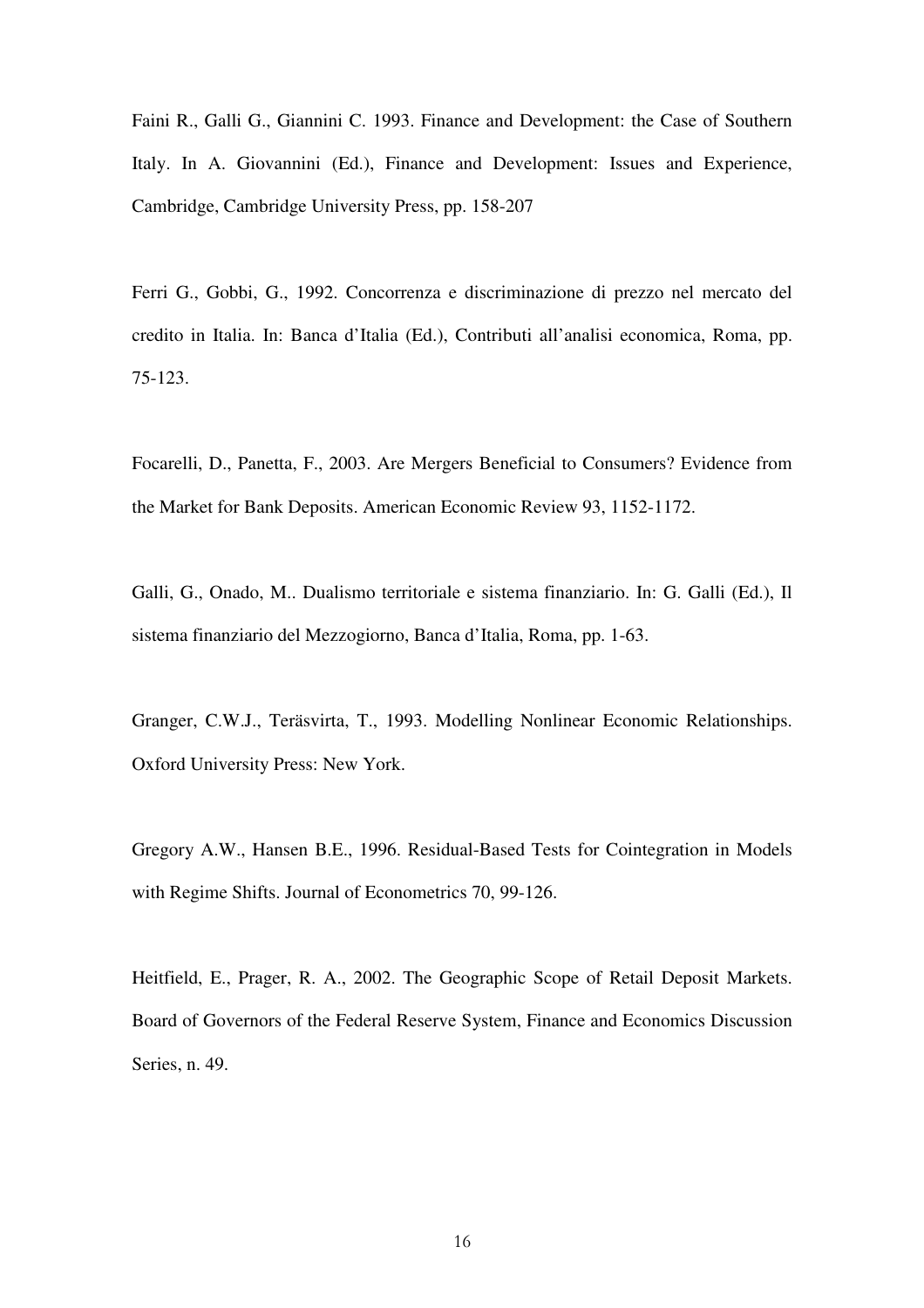Faini R., Galli G., Giannini C. 1993. Finance and Development: the Case of Southern Italy. In A. Giovannini (Ed.), Finance and Development: Issues and Experience, Cambridge, Cambridge University Press, pp. 158-207

Ferri G., Gobbi, G., 1992. Concorrenza e discriminazione di prezzo nel mercato del credito in Italia. In: Banca d'Italia (Ed.), Contributi all'analisi economica, Roma, pp. 75-123.

Focarelli, D., Panetta, F., 2003. Are Mergers Beneficial to Consumers? Evidence from the Market for Bank Deposits. American Economic Review 93, 1152-1172.

Galli, G., Onado, M.. Dualismo territoriale e sistema finanziario. In: G. Galli (Ed.), Il sistema finanziario del Mezzogiorno, Banca d'Italia, Roma, pp. 1-63.

Granger, C.W.J., Teräsvirta, T., 1993. Modelling Nonlinear Economic Relationships. Oxford University Press: New York.

Gregory A.W., Hansen B.E., 1996. Residual-Based Tests for Cointegration in Models with Regime Shifts. Journal of Econometrics 70, 99-126.

Heitfield, E., Prager, R. A., 2002. The Geographic Scope of Retail Deposit Markets. Board of Governors of the Federal Reserve System, Finance and Economics Discussion Series, n. 49.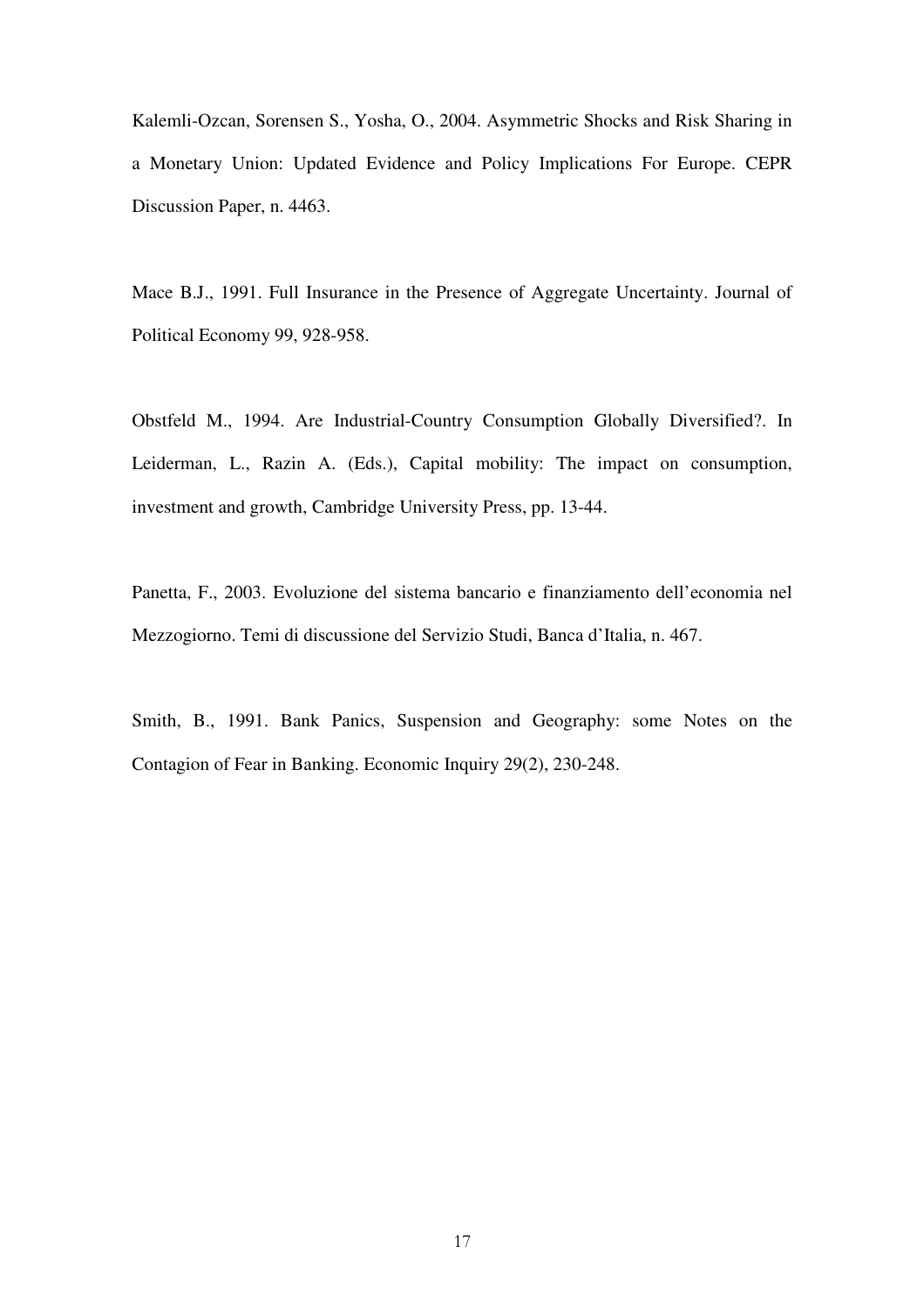Kalemli-Ozcan, Sorensen S., Yosha, O., 2004. Asymmetric Shocks and Risk Sharing in a Monetary Union: Updated Evidence and Policy Implications For Europe. CEPR Discussion Paper, n. 4463.

Mace B.J., 1991. Full Insurance in the Presence of Aggregate Uncertainty. Journal of Political Economy 99, 928-958.

Obstfeld M., 1994. Are Industrial-Country Consumption Globally Diversified?. In Leiderman, L., Razin A. (Eds.), Capital mobility: The impact on consumption, investment and growth, Cambridge University Press, pp. 13-44.

Panetta, F., 2003. Evoluzione del sistema bancario e finanziamento dell'economia nel Mezzogiorno. Temi di discussione del Servizio Studi, Banca d'Italia, n. 467.

Smith, B., 1991. Bank Panics, Suspension and Geography: some Notes on the Contagion of Fear in Banking. Economic Inquiry 29(2), 230-248.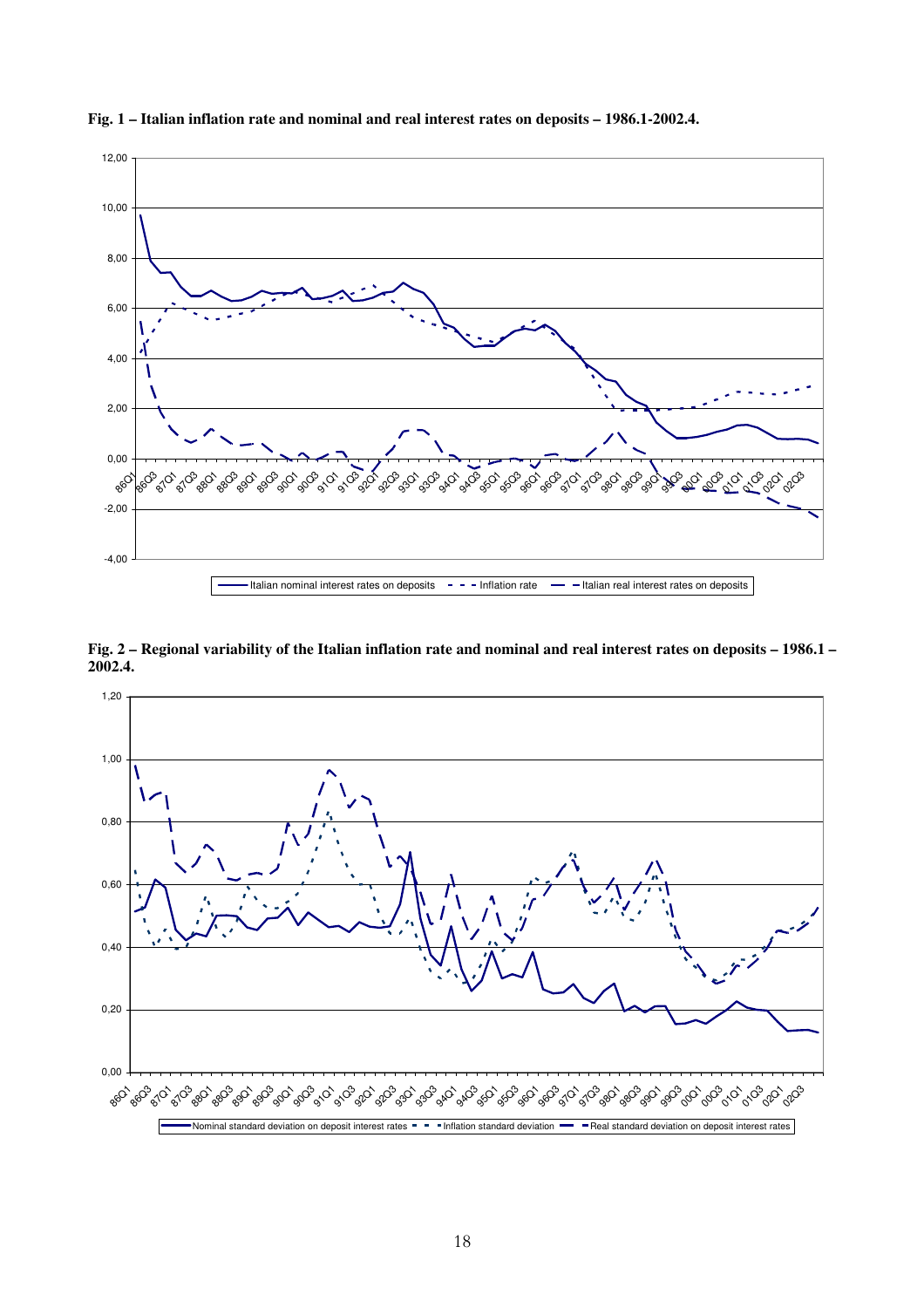

**Fig. 1 – Italian inflation rate and nominal and real interest rates on deposits – 1986.1-2002.4.**

**Fig. 2 – Regional variability of the Italian inflation rate and nominal and real interest rates on deposits – 1986.1 – 2002.4.** 

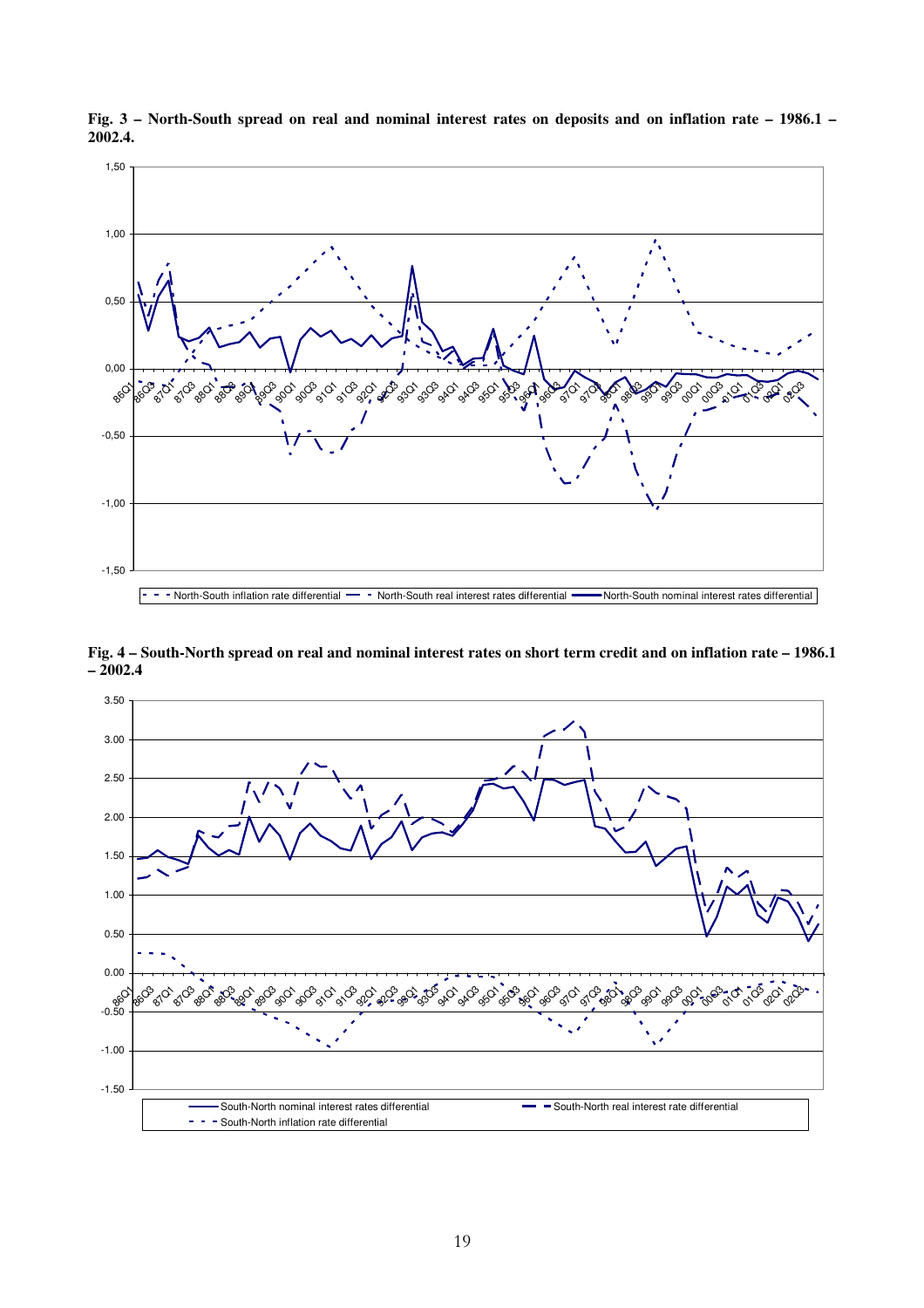

**Fig. 3 – North-South spread on real and nominal interest rates on deposits and on inflation rate – 1986.1 – 2002.4.**

**Fig. 4 – South-North spread on real and nominal interest rates on short term credit and on inflation rate – 1986.1 – 2002.4** 

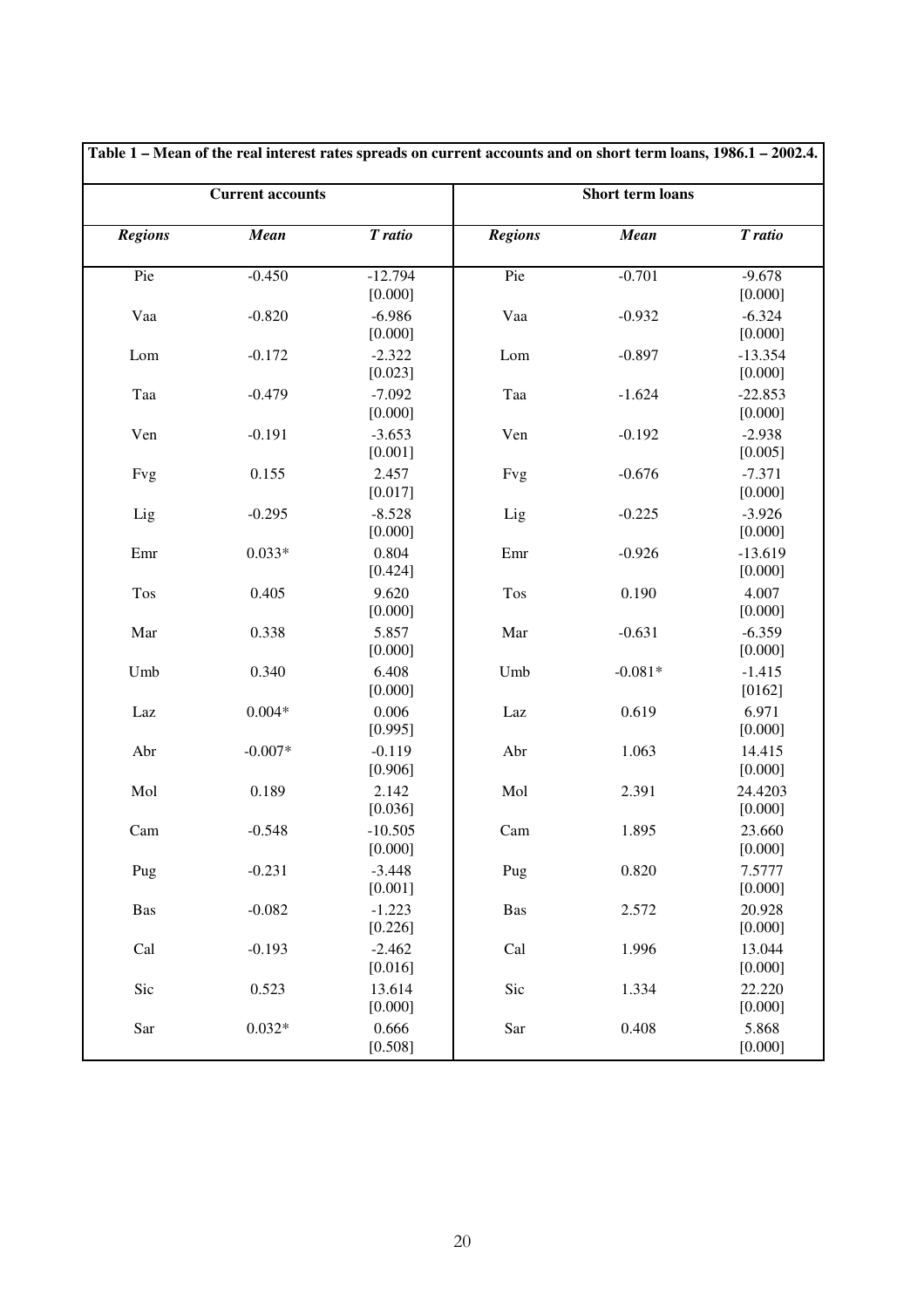|                | <b>Current accounts</b>          |                      | <b>Short term loans</b> |           |                              |  |  |
|----------------|----------------------------------|----------------------|-------------------------|-----------|------------------------------|--|--|
| <b>Regions</b> | <b>Mean</b>                      | T ratio              | <b>Regions</b>          | Mean      | T ratio                      |  |  |
| Pie            | $-0.450$<br>$-12.794$<br>[0.000] |                      | Pie                     | $-0.701$  | $-9.678$<br>[0.000]          |  |  |
| Vaa            | $-0.820$                         | $-6.986$<br>[0.000]  | Vaa                     | $-0.932$  | $-6.324$<br>[0.000]          |  |  |
| Lom            | $-0.172$                         | $-2.322$<br>[0.023]  | Lom                     | $-0.897$  | $-13.354$<br>[0.000]         |  |  |
| Taa            | $-0.479$                         | $-7.092$<br>[0.000]  | Taa                     | $-1.624$  | $-22.853$<br>[0.000]         |  |  |
| Ven            | $-0.191$                         | $-3.653$<br>[0.001]  | Ven                     | $-0.192$  | $-2.938$<br>[0.005]          |  |  |
| Fvg            | 0.155                            | 2.457<br>[0.017]     | Fvg                     | $-0.676$  | $-7.371$<br>[0.000]          |  |  |
| Lig            | $-0.295$                         | $-8.528$<br>[0.000]  | Lig                     | $-0.225$  | $-3.926$<br>[0.000]          |  |  |
| Emr            | $0.033*$                         | 0.804<br>[0.424]     | Emr                     | $-0.926$  | $-13.619$<br>[0.000]         |  |  |
| Tos            | 0.405                            | 9.620<br>[0.000]     | Tos                     | 0.190     | 4.007<br>[0.000]             |  |  |
| Mar            | 0.338                            | 5.857<br>[0.000]     | Mar                     | $-0.631$  | $-6.359$<br>[0.000]          |  |  |
| Umb            | 0.340                            | 6.408<br>[0.000]     | Umb                     | $-0.081*$ | $-1.415$<br>[0162]           |  |  |
| Laz            | $0.004*$                         | 0.006<br>[0.995]     | Laz                     | 0.619     | 6.971<br>[0.000]             |  |  |
| Abr            | $-0.007*$                        | $-0.119$<br>[0.906]  | Abr                     | 1.063     | 14.415<br>[0.000]            |  |  |
| Mol            | 0.189                            | 2.142<br>[0.036]     | Mol                     | 2.391     | 24.4203<br>[0.000]           |  |  |
| Cam            | $-0.548$                         | $-10.505$<br>[0.000] | Cam                     | 1.895     | 23.660<br>[0.000]            |  |  |
| Pug            | $-0.231$                         | $-3.448$<br>[0.001]  | Pug                     | 0.820     |                              |  |  |
| <b>Bas</b>     | $-0.082$                         | $-1.223$<br>[0.226]  | <b>Bas</b>              | 2.572     | [0.000]<br>20.928<br>[0.000] |  |  |
| Cal            | $-0.193$                         | $-2.462$<br>[0.016]  | Cal                     | 1.996     | 13.044<br>[0.000]            |  |  |
| Sic            | 0.523                            | 13.614<br>[0.000]    | Sic                     | 1.334     | 22.220<br>[0.000]            |  |  |
| Sar            | $0.032*$                         | 0.666<br>[0.508]     | Sar                     | 0.408     | 5.868<br>[0.000]             |  |  |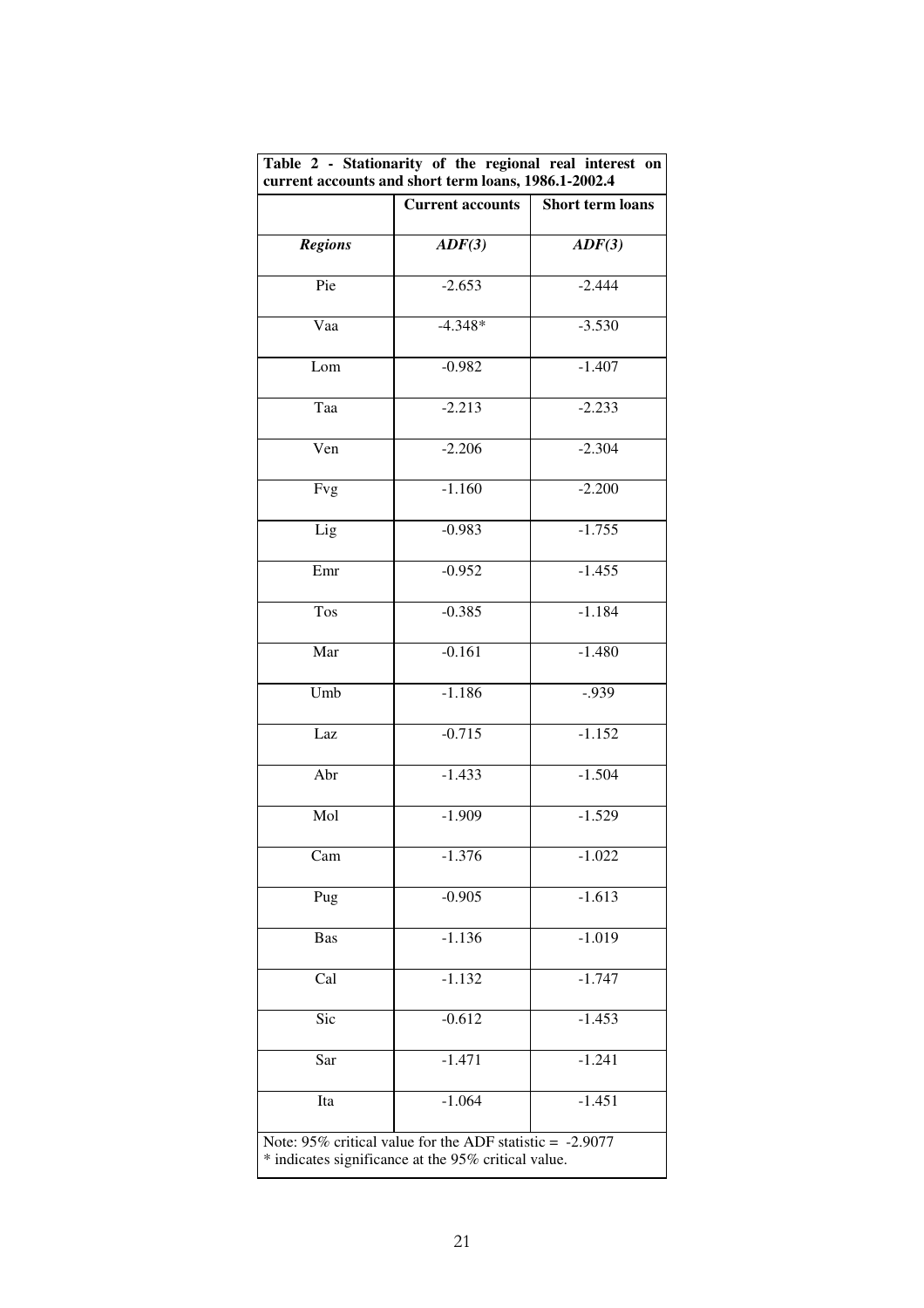| Table 2 - Stationarity of the regional real interest on<br>current accounts and short term loans, 1986.1-2002.4 |                                                                                                                    |                                     |  |  |  |  |  |
|-----------------------------------------------------------------------------------------------------------------|--------------------------------------------------------------------------------------------------------------------|-------------------------------------|--|--|--|--|--|
|                                                                                                                 | <b>Current accounts</b>                                                                                            | Short term loans<br>$\text{ADF}(3)$ |  |  |  |  |  |
| <b>Regions</b>                                                                                                  | $\text{ADF}(3)$                                                                                                    |                                     |  |  |  |  |  |
| Pie                                                                                                             | $-2.653$                                                                                                           | $-2.444$                            |  |  |  |  |  |
| Vaa                                                                                                             | $-4.348*$                                                                                                          | $-3.530$                            |  |  |  |  |  |
| Lom                                                                                                             | $-0.982$                                                                                                           | $-1.407$                            |  |  |  |  |  |
| Taa                                                                                                             | $-2.213$                                                                                                           | $-2.233$                            |  |  |  |  |  |
| Ven                                                                                                             | $-2.206$                                                                                                           | $-2.304$                            |  |  |  |  |  |
| Fvg                                                                                                             | $-1.160$                                                                                                           | $-2.200$                            |  |  |  |  |  |
| Lig                                                                                                             | $-0.983$                                                                                                           | $-1.755$                            |  |  |  |  |  |
| Emr                                                                                                             | $-0.952$                                                                                                           | $-1.455$                            |  |  |  |  |  |
| Tos                                                                                                             | $-0.385$                                                                                                           | $-1.184$                            |  |  |  |  |  |
| Mar                                                                                                             | $-0.161$                                                                                                           | $-1.480$                            |  |  |  |  |  |
| Umb                                                                                                             | $-1.186$                                                                                                           | $-0.939$                            |  |  |  |  |  |
| Laz                                                                                                             | $-0.715$                                                                                                           | $-1.152$                            |  |  |  |  |  |
| Abr                                                                                                             | $-1.433$                                                                                                           | $-1.504$                            |  |  |  |  |  |
| Mol                                                                                                             | $-1.909$                                                                                                           | $-1.529$                            |  |  |  |  |  |
| Cam                                                                                                             | $-1.376$                                                                                                           | $-1.022$                            |  |  |  |  |  |
| Pug                                                                                                             | $-0.905$                                                                                                           | $-1.613$                            |  |  |  |  |  |
| Bas                                                                                                             | $-1.136$                                                                                                           | $-1.019$                            |  |  |  |  |  |
| Cal                                                                                                             | $-1.132$                                                                                                           | $-1.747$                            |  |  |  |  |  |
| Sic                                                                                                             | $-0.612$                                                                                                           | $-1.453$                            |  |  |  |  |  |
| Sar                                                                                                             | $-1.471$                                                                                                           | $-1.241$                            |  |  |  |  |  |
| Ita                                                                                                             | $-1.064$                                                                                                           | $-1.451$                            |  |  |  |  |  |
|                                                                                                                 | Note: $95\%$ critical value for the ADF statistic = -2.9077<br>* indicates significance at the 95% critical value. |                                     |  |  |  |  |  |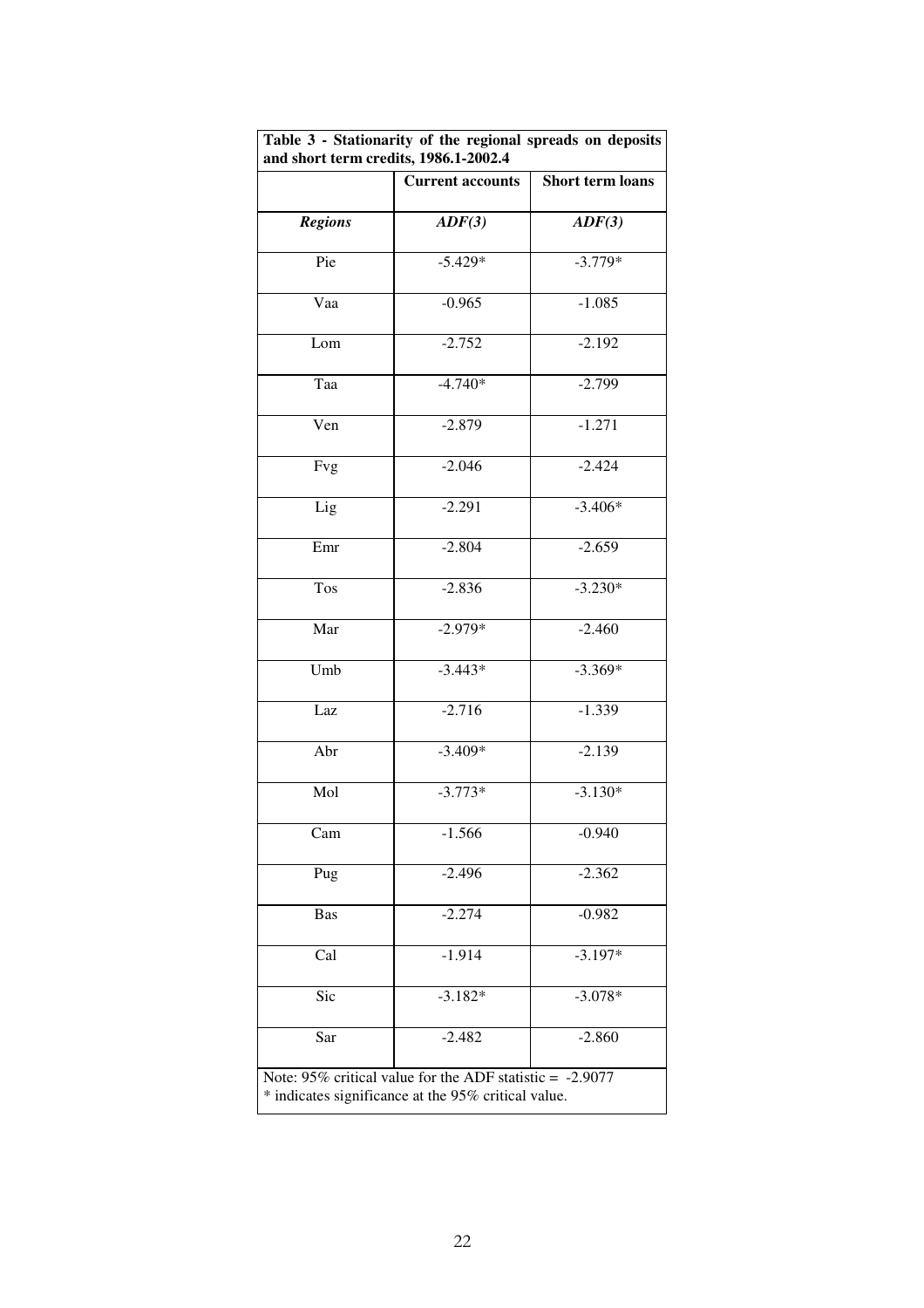| Table 3 - Stationarity of the regional spreads on deposits<br>and short term credits, 1986.1-2002.4 |                                                                                                                    |                         |  |  |  |  |
|-----------------------------------------------------------------------------------------------------|--------------------------------------------------------------------------------------------------------------------|-------------------------|--|--|--|--|
|                                                                                                     | <b>Current accounts</b>                                                                                            | <b>Short term loans</b> |  |  |  |  |
| <b>Regions</b>                                                                                      | $\text{ADF}(3)$                                                                                                    | ADF(3)                  |  |  |  |  |
| Pie                                                                                                 | $-5.429*$                                                                                                          | $-3.779*$               |  |  |  |  |
| Vaa                                                                                                 | $-0.965$                                                                                                           | $-1.085$                |  |  |  |  |
| Lom                                                                                                 | $-2.752$                                                                                                           | $-2.192$                |  |  |  |  |
| Taa                                                                                                 | $-4.740*$                                                                                                          | $-2.799$                |  |  |  |  |
| Ven                                                                                                 | $-2.879$                                                                                                           | $-1.271$                |  |  |  |  |
| Fvg                                                                                                 | $-2.046$                                                                                                           | $-2.424$                |  |  |  |  |
| Lig                                                                                                 | $-2.291$                                                                                                           | $-3.406*$               |  |  |  |  |
| Emr                                                                                                 | $-2.804$                                                                                                           | $-2.659$                |  |  |  |  |
| Tos                                                                                                 | $-2.836$                                                                                                           | $-3.230*$               |  |  |  |  |
| Mar                                                                                                 | $-2.979*$                                                                                                          | $-2.460$                |  |  |  |  |
| Umb                                                                                                 | $-3.443*$                                                                                                          | $-3.369*$               |  |  |  |  |
| Laz                                                                                                 | $-2.716$                                                                                                           | $-1.339$                |  |  |  |  |
| Abr                                                                                                 | $-3.409*$                                                                                                          | $-2.139$                |  |  |  |  |
| Mol                                                                                                 | $-3.773*$                                                                                                          | $-3.130*$               |  |  |  |  |
| Cam                                                                                                 | $-1.566$                                                                                                           | $-0.940$                |  |  |  |  |
| Pug                                                                                                 | $-2.496$                                                                                                           | $-2.362$                |  |  |  |  |
| <b>Bas</b>                                                                                          | $-2.274$                                                                                                           | $-0.982$                |  |  |  |  |
| Cal                                                                                                 | $-1.914$                                                                                                           | $-3.197*$               |  |  |  |  |
| Sic                                                                                                 | $-3.182*$                                                                                                          | $-3.078*$               |  |  |  |  |
| Sar                                                                                                 | $-2.482$                                                                                                           | $-2.860$                |  |  |  |  |
|                                                                                                     | Note: $95\%$ critical value for the ADF statistic = -2.9077<br>* indicates significance at the 95% critical value. |                         |  |  |  |  |